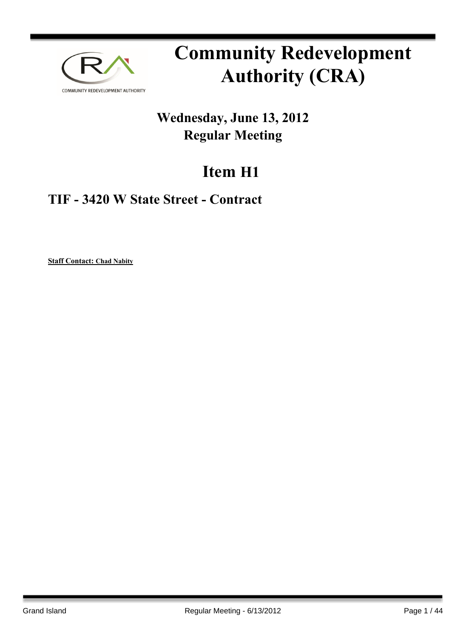

# **Community Redevelopment Authority (CRA)**

## **Wednesday, June 13, 2012 Regular Meeting**

# **Item H1**

## **TIF - 3420 W State Street - Contract**

**Staff Contact: Chad Nabity**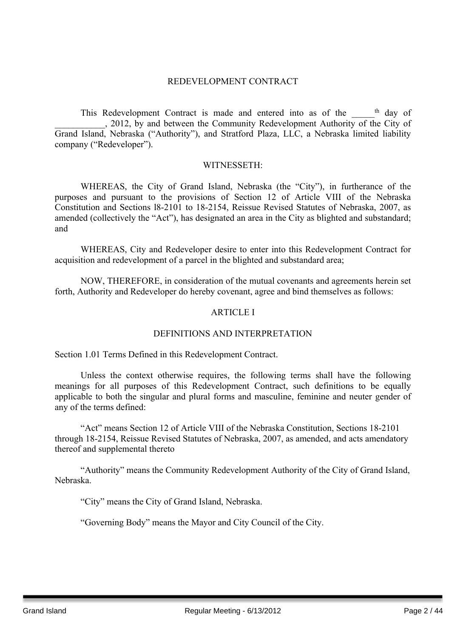#### REDEVELOPMENT CONTRACT

This Redevelopment Contract is made and entered into as of the semi-. 2012, by and between the Community Redevelopment Authority of the City of Grand Island, Nebraska ("Authority"), and Stratford Plaza, LLC, a Nebraska limited liability company ("Redeveloper").

#### WITNESSETH:

WHEREAS, the City of Grand Island, Nebraska (the "City"), in furtherance of the purposes and pursuant to the provisions of Section 12 of Article VIII of the Nebraska Constitution and Sections l8-2101 to 18-2154, Reissue Revised Statutes of Nebraska, 2007, as amended (collectively the "Act"), has designated an area in the City as blighted and substandard; and

WHEREAS, City and Redeveloper desire to enter into this Redevelopment Contract for acquisition and redevelopment of a parcel in the blighted and substandard area;

NOW, THEREFORE, in consideration of the mutual covenants and agreements herein set forth, Authority and Redeveloper do hereby covenant, agree and bind themselves as follows:

#### ARTICLE I

#### DEFINITIONS AND INTERPRETATION

Section 1.01 Terms Defined in this Redevelopment Contract.

Unless the context otherwise requires, the following terms shall have the following meanings for all purposes of this Redevelopment Contract, such definitions to be equally applicable to both the singular and plural forms and masculine, feminine and neuter gender of any of the terms defined:

"Act" means Section 12 of Article VIII of the Nebraska Constitution, Sections 18-2101 through 18-2154, Reissue Revised Statutes of Nebraska, 2007, as amended, and acts amendatory thereof and supplemental thereto

"Authority" means the Community Redevelopment Authority of the City of Grand Island, Nebraska.

"City" means the City of Grand Island, Nebraska.

"Governing Body" means the Mayor and City Council of the City.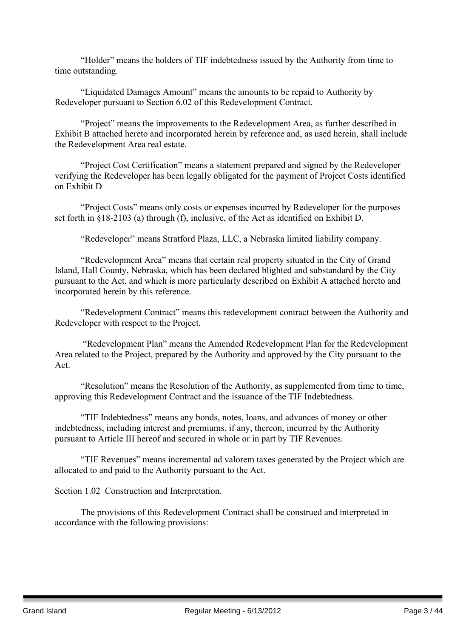"Holder" means the holders of TIF indebtedness issued by the Authority from time to time outstanding.

"Liquidated Damages Amount" means the amounts to be repaid to Authority by Redeveloper pursuant to Section 6.02 of this Redevelopment Contract.

"Project" means the improvements to the Redevelopment Area, as further described in Exhibit B attached hereto and incorporated herein by reference and, as used herein, shall include the Redevelopment Area real estate.

"Project Cost Certification" means a statement prepared and signed by the Redeveloper verifying the Redeveloper has been legally obligated for the payment of Project Costs identified on Exhibit D

"Project Costs" means only costs or expenses incurred by Redeveloper for the purposes set forth in §18-2103 (a) through (f), inclusive, of the Act as identified on Exhibit D.

"Redeveloper" means Stratford Plaza, LLC, a Nebraska limited liability company.

"Redevelopment Area" means that certain real property situated in the City of Grand Island, Hall County, Nebraska, which has been declared blighted and substandard by the City pursuant to the Act, and which is more particularly described on Exhibit A attached hereto and incorporated herein by this reference.

"Redevelopment Contract" means this redevelopment contract between the Authority and Redeveloper with respect to the Project.

"Redevelopment Plan" means the Amended Redevelopment Plan for the Redevelopment Area related to the Project, prepared by the Authority and approved by the City pursuant to the Act.

"Resolution" means the Resolution of the Authority, as supplemented from time to time, approving this Redevelopment Contract and the issuance of the TIF Indebtedness.

"TIF Indebtedness" means any bonds, notes, loans, and advances of money or other indebtedness, including interest and premiums, if any, thereon, incurred by the Authority pursuant to Article III hereof and secured in whole or in part by TIF Revenues.

"TIF Revenues" means incremental ad valorem taxes generated by the Project which are allocated to and paid to the Authority pursuant to the Act.

Section 1.02 Construction and Interpretation.

The provisions of this Redevelopment Contract shall be construed and interpreted in accordance with the following provisions: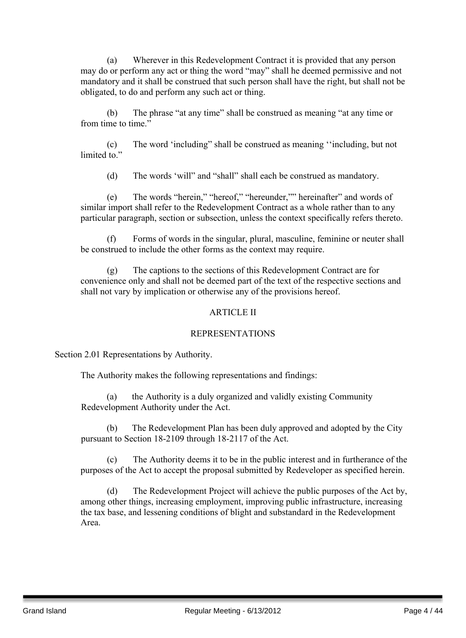(a) Wherever in this Redevelopment Contract it is provided that any person may do or perform any act or thing the word "may" shall he deemed permissive and not mandatory and it shall be construed that such person shall have the right, but shall not be obligated, to do and perform any such act or thing.

(b) The phrase "at any time" shall be construed as meaning "at any time or from time to time."

(c) The word 'including" shall be construed as meaning ''including, but not limited to"

(d) The words 'will" and "shall" shall each be construed as mandatory.

(e) The words "herein," "hereof," "hereunder,"" hereinafter" and words of similar import shall refer to the Redevelopment Contract as a whole rather than to any particular paragraph, section or subsection, unless the context specifically refers thereto.

(f) Forms of words in the singular, plural, masculine, feminine or neuter shall be construed to include the other forms as the context may require.

(g) The captions to the sections of this Redevelopment Contract are for convenience only and shall not be deemed part of the text of the respective sections and shall not vary by implication or otherwise any of the provisions hereof.

#### ARTICLE II

#### REPRESENTATIONS

Section 2.01 Representations by Authority.

The Authority makes the following representations and findings:

(a) the Authority is a duly organized and validly existing Community Redevelopment Authority under the Act.

(b) The Redevelopment Plan has been duly approved and adopted by the City pursuant to Section 18-2109 through 18-2117 of the Act.

(c) The Authority deems it to be in the public interest and in furtherance of the purposes of the Act to accept the proposal submitted by Redeveloper as specified herein.

(d) The Redevelopment Project will achieve the public purposes of the Act by, among other things, increasing employment, improving public infrastructure, increasing the tax base, and lessening conditions of blight and substandard in the Redevelopment Area.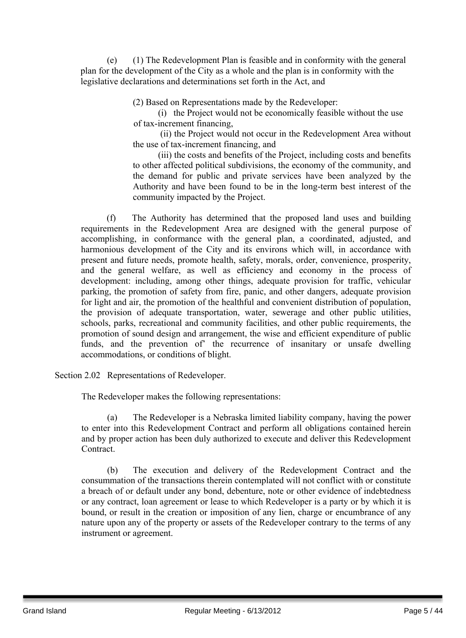(e) (1) The Redevelopment Plan is feasible and in conformity with the general plan for the development of the City as a whole and the plan is in conformity with the legislative declarations and determinations set forth in the Act, and

(2) Based on Representations made by the Redeveloper:

(i) the Project would not be economically feasible without the use of tax-increment financing,

(ii) the Project would not occur in the Redevelopment Area without the use of tax-increment financing, and

(iii) the costs and benefits of the Project, including costs and benefits to other affected political subdivisions, the economy of the community, and the demand for public and private services have been analyzed by the Authority and have been found to be in the long-term best interest of the community impacted by the Project.

(f) The Authority has determined that the proposed land uses and building requirements in the Redevelopment Area are designed with the general purpose of accomplishing, in conformance with the general plan, a coordinated, adjusted, and harmonious development of the City and its environs which will, in accordance with present and future needs, promote health, safety, morals, order, convenience, prosperity, and the general welfare, as well as efficiency and economy in the process of development: including, among other things, adequate provision for traffic, vehicular parking, the promotion of safety from fire, panic, and other dangers, adequate provision for light and air, the promotion of the healthful and convenient distribution of population, the provision of adequate transportation, water, sewerage and other public utilities, schools, parks, recreational and community facilities, and other public requirements, the promotion of sound design and arrangement, the wise and efficient expenditure of public funds, and the prevention of' the recurrence of insanitary or unsafe dwelling accommodations, or conditions of blight.

Section 2.02 Representations of Redeveloper.

The Redeveloper makes the following representations:

(a) The Redeveloper is a Nebraska limited liability company, having the power to enter into this Redevelopment Contract and perform all obligations contained herein and by proper action has been duly authorized to execute and deliver this Redevelopment **Contract** 

(b) The execution and delivery of the Redevelopment Contract and the consummation of the transactions therein contemplated will not conflict with or constitute a breach of or default under any bond, debenture, note or other evidence of indebtedness or any contract, loan agreement or lease to which Redeveloper is a party or by which it is bound, or result in the creation or imposition of any lien, charge or encumbrance of any nature upon any of the property or assets of the Redeveloper contrary to the terms of any instrument or agreement.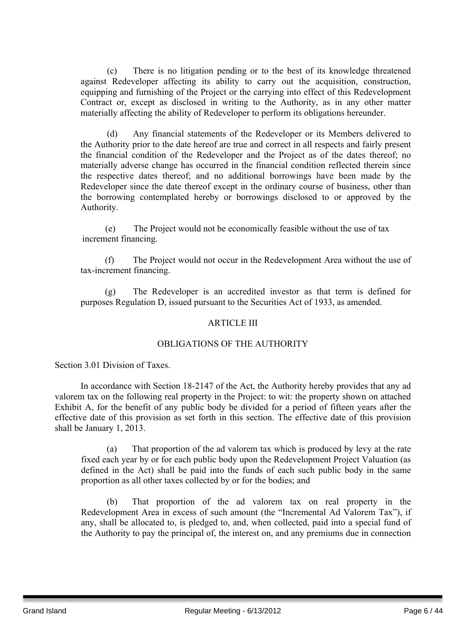(c) There is no litigation pending or to the best of its knowledge threatened against Redeveloper affecting its ability to carry out the acquisition, construction, equipping and furnishing of the Project or the carrying into effect of this Redevelopment Contract or, except as disclosed in writing to the Authority, as in any other matter materially affecting the ability of Redeveloper to perform its obligations hereunder.

(d) Any financial statements of the Redeveloper or its Members delivered to the Authority prior to the date hereof are true and correct in all respects and fairly present the financial condition of the Redeveloper and the Project as of the dates thereof; no materially adverse change has occurred in the financial condition reflected therein since the respective dates thereof; and no additional borrowings have been made by the Redeveloper since the date thereof except in the ordinary course of business, other than the borrowing contemplated hereby or borrowings disclosed to or approved by the Authority.

(e) The Project would not be economically feasible without the use of tax increment financing.

(f) The Project would not occur in the Redevelopment Area without the use of tax-increment financing.

(g) The Redeveloper is an accredited investor as that term is defined for purposes Regulation D, issued pursuant to the Securities Act of 1933, as amended.

#### ARTICLE III

#### OBLIGATIONS OF THE AUTHORITY

Section 3.01 Division of Taxes.

In accordance with Section 18-2147 of the Act, the Authority hereby provides that any ad valorem tax on the following real property in the Project: to wit: the property shown on attached Exhibit A, for the benefit of any public body be divided for a period of fifteen years after the effective date of this provision as set forth in this section. The effective date of this provision shall be January 1, 2013.

(a) That proportion of the ad valorem tax which is produced by levy at the rate fixed each year by or for each public body upon the Redevelopment Project Valuation (as defined in the Act) shall be paid into the funds of each such public body in the same proportion as all other taxes collected by or for the bodies; and

(b) That proportion of the ad valorem tax on real property in the Redevelopment Area in excess of such amount (the "Incremental Ad Valorem Tax"), if any, shall be allocated to, is pledged to, and, when collected, paid into a special fund of the Authority to pay the principal of, the interest on, and any premiums due in connection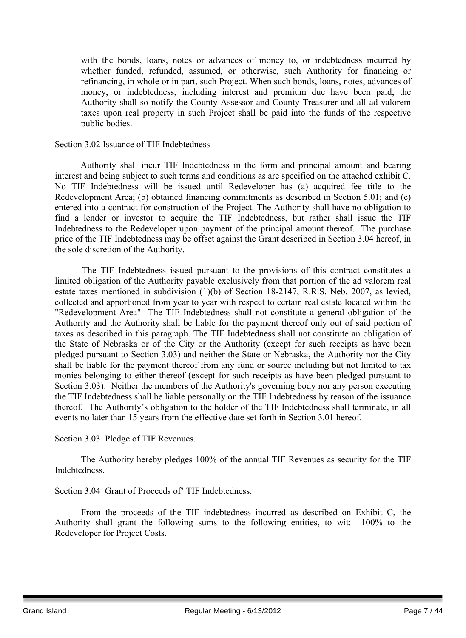with the bonds, loans, notes or advances of money to, or indebtedness incurred by whether funded, refunded, assumed, or otherwise, such Authority for financing or refinancing, in whole or in part, such Project. When such bonds, loans, notes, advances of money, or indebtedness, including interest and premium due have been paid, the Authority shall so notify the County Assessor and County Treasurer and all ad valorem taxes upon real property in such Project shall be paid into the funds of the respective public bodies.

#### Section 3.02 Issuance of TIF Indebtedness

Authority shall incur TIF Indebtedness in the form and principal amount and bearing interest and being subject to such terms and conditions as are specified on the attached exhibit C. No TIF Indebtedness will be issued until Redeveloper has (a) acquired fee title to the Redevelopment Area; (b) obtained financing commitments as described in Section 5.01; and (c) entered into a contract for construction of the Project. The Authority shall have no obligation to find a lender or investor to acquire the TIF Indebtedness, but rather shall issue the TIF Indebtedness to the Redeveloper upon payment of the principal amount thereof. The purchase price of the TIF Indebtedness may be offset against the Grant described in Section 3.04 hereof, in the sole discretion of the Authority.

The TIF Indebtedness issued pursuant to the provisions of this contract constitutes a limited obligation of the Authority payable exclusively from that portion of the ad valorem real estate taxes mentioned in subdivision (1)(b) of Section 18-2147, R.R.S. Neb. 2007, as levied, collected and apportioned from year to year with respect to certain real estate located within the "Redevelopment Area" The TIF Indebtedness shall not constitute a general obligation of the Authority and the Authority shall be liable for the payment thereof only out of said portion of taxes as described in this paragraph. The TIF Indebtedness shall not constitute an obligation of the State of Nebraska or of the City or the Authority (except for such receipts as have been pledged pursuant to Section 3.03) and neither the State or Nebraska, the Authority nor the City shall be liable for the payment thereof from any fund or source including but not limited to tax monies belonging to either thereof (except for such receipts as have been pledged pursuant to Section 3.03). Neither the members of the Authority's governing body nor any person executing the TIF Indebtedness shall be liable personally on the TIF Indebtedness by reason of the issuance thereof. The Authority's obligation to the holder of the TIF Indebtedness shall terminate, in all events no later than 15 years from the effective date set forth in Section 3.01 hereof.

Section 3.03 Pledge of TIF Revenues.

The Authority hereby pledges 100% of the annual TIF Revenues as security for the TIF Indebtedness.

Section 3.04 Grant of Proceeds of' TIF Indebtedness.

From the proceeds of the TIF indebtedness incurred as described on Exhibit C, the Authority shall grant the following sums to the following entities, to wit: 100% to the Redeveloper for Project Costs.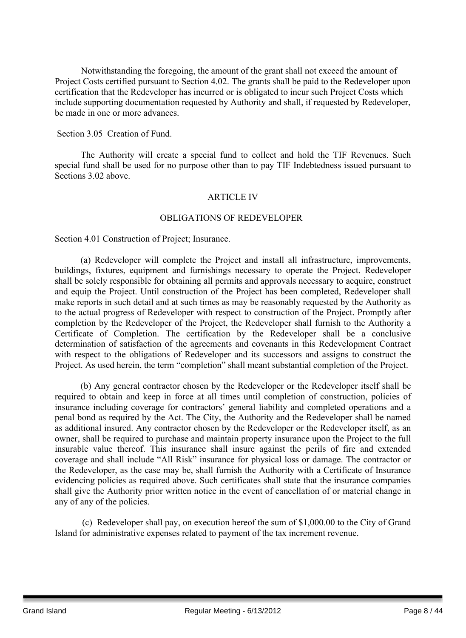Notwithstanding the foregoing, the amount of the grant shall not exceed the amount of Project Costs certified pursuant to Section 4.02. The grants shall be paid to the Redeveloper upon certification that the Redeveloper has incurred or is obligated to incur such Project Costs which include supporting documentation requested by Authority and shall, if requested by Redeveloper, be made in one or more advances.

Section 3.05 Creation of Fund.

The Authority will create a special fund to collect and hold the TIF Revenues. Such special fund shall be used for no purpose other than to pay TIF Indebtedness issued pursuant to Sections 3.02 above.

## ARTICLE IV

## OBLIGATIONS OF REDEVELOPER

Section 4.01 Construction of Project; Insurance.

(a) Redeveloper will complete the Project and install all infrastructure, improvements, buildings, fixtures, equipment and furnishings necessary to operate the Project. Redeveloper shall be solely responsible for obtaining all permits and approvals necessary to acquire, construct and equip the Project. Until construction of the Project has been completed, Redeveloper shall make reports in such detail and at such times as may be reasonably requested by the Authority as to the actual progress of Redeveloper with respect to construction of the Project. Promptly after completion by the Redeveloper of the Project, the Redeveloper shall furnish to the Authority a Certificate of Completion. The certification by the Redeveloper shall be a conclusive determination of satisfaction of the agreements and covenants in this Redevelopment Contract with respect to the obligations of Redeveloper and its successors and assigns to construct the Project. As used herein, the term "completion" shall meant substantial completion of the Project.

(b) Any general contractor chosen by the Redeveloper or the Redeveloper itself shall be required to obtain and keep in force at all times until completion of construction, policies of insurance including coverage for contractors' general liability and completed operations and a penal bond as required by the Act. The City, the Authority and the Redeveloper shall be named as additional insured. Any contractor chosen by the Redeveloper or the Redeveloper itself, as an owner, shall be required to purchase and maintain property insurance upon the Project to the full insurable value thereof. This insurance shall insure against the perils of fire and extended coverage and shall include "All Risk" insurance for physical loss or damage. The contractor or the Redeveloper, as the case may be, shall furnish the Authority with a Certificate of Insurance evidencing policies as required above. Such certificates shall state that the insurance companies shall give the Authority prior written notice in the event of cancellation of or material change in any of any of the policies.

(c) Redeveloper shall pay, on execution hereof the sum of \$1,000.00 to the City of Grand Island for administrative expenses related to payment of the tax increment revenue.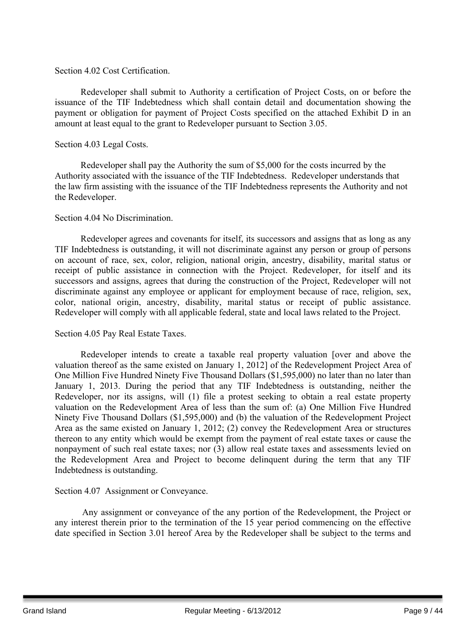#### Section 4.02 Cost Certification.

Redeveloper shall submit to Authority a certification of Project Costs, on or before the issuance of the TIF Indebtedness which shall contain detail and documentation showing the payment or obligation for payment of Project Costs specified on the attached Exhibit D in an amount at least equal to the grant to Redeveloper pursuant to Section 3.05.

#### Section 4.03 Legal Costs.

Redeveloper shall pay the Authority the sum of \$5,000 for the costs incurred by the Authority associated with the issuance of the TIF Indebtedness. Redeveloper understands that the law firm assisting with the issuance of the TIF Indebtedness represents the Authority and not the Redeveloper.

#### Section 4.04 No Discrimination.

Redeveloper agrees and covenants for itself, its successors and assigns that as long as any TIF Indebtedness is outstanding, it will not discriminate against any person or group of persons on account of race, sex, color, religion, national origin, ancestry, disability, marital status or receipt of public assistance in connection with the Project. Redeveloper, for itself and its successors and assigns, agrees that during the construction of the Project, Redeveloper will not discriminate against any employee or applicant for employment because of race, religion, sex, color, national origin, ancestry, disability, marital status or receipt of public assistance. Redeveloper will comply with all applicable federal, state and local laws related to the Project.

## Section 4.05 Pay Real Estate Taxes.

Redeveloper intends to create a taxable real property valuation [over and above the valuation thereof as the same existed on January 1, 2012] of the Redevelopment Project Area of One Million Five Hundred Ninety Five Thousand Dollars (\$1,595,000) no later than no later than January 1, 2013. During the period that any TIF Indebtedness is outstanding, neither the Redeveloper, nor its assigns, will (1) file a protest seeking to obtain a real estate property valuation on the Redevelopment Area of less than the sum of: (a) One Million Five Hundred Ninety Five Thousand Dollars (\$1,595,000) and (b) the valuation of the Redevelopment Project Area as the same existed on January 1, 2012; (2) convey the Redevelopment Area or structures thereon to any entity which would be exempt from the payment of real estate taxes or cause the nonpayment of such real estate taxes; nor (3) allow real estate taxes and assessments levied on the Redevelopment Area and Project to become delinquent during the term that any TIF Indebtedness is outstanding.

## Section 4.07 Assignment or Conveyance.

Any assignment or conveyance of the any portion of the Redevelopment, the Project or any interest therein prior to the termination of the 15 year period commencing on the effective date specified in Section 3.01 hereof Area by the Redeveloper shall be subject to the terms and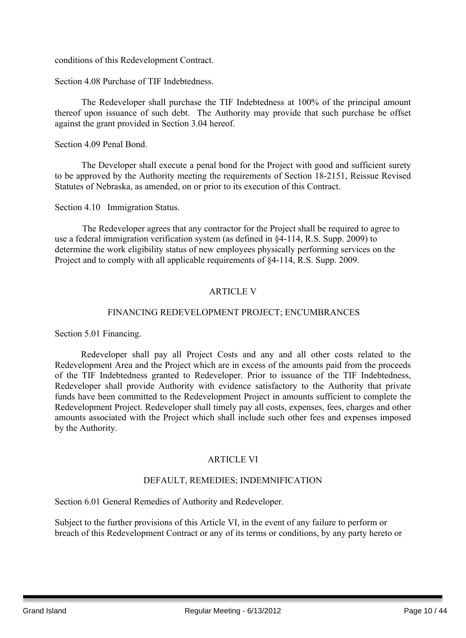conditions of this Redevelopment Contract.

Section 4.08 Purchase of TIF Indebtedness.

The Redeveloper shall purchase the TIF Indebtedness at 100% of the principal amount thereof upon issuance of such debt. The Authority may provide that such purchase be offset against the grant provided in Section 3.04 hereof.

Section 4.09 Penal Bond.

The Developer shall execute a penal bond for the Project with good and sufficient surety to be approved by the Authority meeting the requirements of Section 18-2151, Reissue Revised Statutes of Nebraska, as amended, on or prior to its execution of this Contract.

Section 4.10 Immigration Status.

The Redeveloper agrees that any contractor for the Project shall be required to agree to use a federal immigration verification system (as defined in §4-114, R.S. Supp. 2009) to determine the work eligibility status of new employees physically performing services on the Project and to comply with all applicable requirements of §4-114, R.S. Supp. 2009.

## ARTICLE V

## FINANCING REDEVELOPMENT PROJECT; ENCUMBRANCES

Section 5.01 Financing.

Redeveloper shall pay all Project Costs and any and all other costs related to the Redevelopment Area and the Project which are in excess of the amounts paid from the proceeds of the TIF Indebtedness granted to Redeveloper. Prior to issuance of the TIF Indebtedness, Redeveloper shall provide Authority with evidence satisfactory to the Authority that private funds have been committed to the Redevelopment Project in amounts sufficient to complete the Redevelopment Project. Redeveloper shall timely pay all costs, expenses, fees, charges and other amounts associated with the Project which shall include such other fees and expenses imposed by the Authority.

## ARTICLE VI

## DEFAULT, REMEDIES; INDEMNIFICATION

Section 6.01 General Remedies of Authority and Redeveloper.

Subject to the further provisions of this Article VI, in the event of any failure to perform or breach of this Redevelopment Contract or any of its terms or conditions, by any party hereto or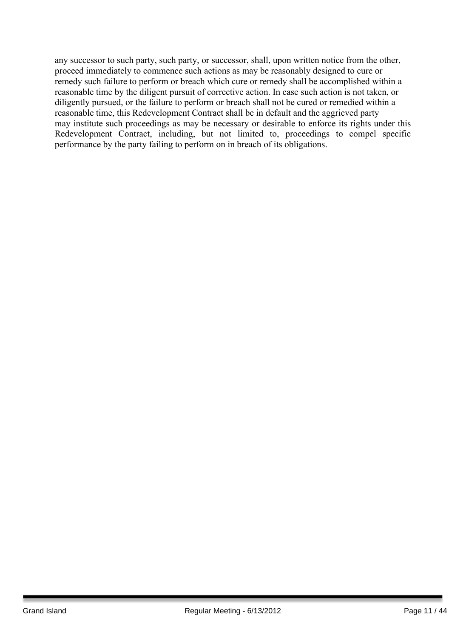any successor to such party, such party, or successor, shall, upon written notice from the other, proceed immediately to commence such actions as may be reasonably designed to cure or remedy such failure to perform or breach which cure or remedy shall be accomplished within a reasonable time by the diligent pursuit of corrective action. In case such action is not taken, or diligently pursued, or the failure to perform or breach shall not be cured or remedied within a reasonable time, this Redevelopment Contract shall be in default and the aggrieved party may institute such proceedings as may be necessary or desirable to enforce its rights under this Redevelopment Contract, including, but not limited to, proceedings to compel specific performance by the party failing to perform on in breach of its obligations.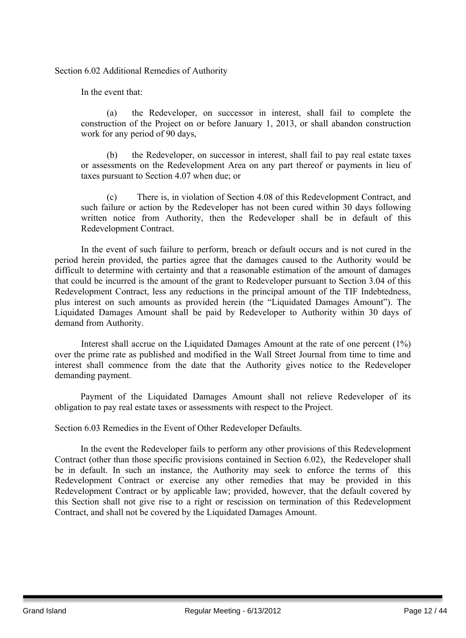Section 6.02 Additional Remedies of Authority

In the event that:

(a) the Redeveloper, on successor in interest, shall fail to complete the construction of the Project on or before January 1, 2013, or shall abandon construction work for any period of 90 days,

(b) the Redeveloper, on successor in interest, shall fail to pay real estate taxes or assessments on the Redevelopment Area on any part thereof or payments in lieu of taxes pursuant to Section 4.07 when due; or

(c) There is, in violation of Section 4.08 of this Redevelopment Contract, and such failure or action by the Redeveloper has not been cured within 30 days following written notice from Authority, then the Redeveloper shall be in default of this Redevelopment Contract.

In the event of such failure to perform, breach or default occurs and is not cured in the period herein provided, the parties agree that the damages caused to the Authority would be difficult to determine with certainty and that a reasonable estimation of the amount of damages that could be incurred is the amount of the grant to Redeveloper pursuant to Section 3.04 of this Redevelopment Contract, less any reductions in the principal amount of the TIF Indebtedness, plus interest on such amounts as provided herein (the "Liquidated Damages Amount"). The Liquidated Damages Amount shall be paid by Redeveloper to Authority within 30 days of demand from Authority.

Interest shall accrue on the Liquidated Damages Amount at the rate of one percent (1%) over the prime rate as published and modified in the Wall Street Journal from time to time and interest shall commence from the date that the Authority gives notice to the Redeveloper demanding payment.

Payment of the Liquidated Damages Amount shall not relieve Redeveloper of its obligation to pay real estate taxes or assessments with respect to the Project.

Section 6.03 Remedies in the Event of Other Redeveloper Defaults.

In the event the Redeveloper fails to perform any other provisions of this Redevelopment Contract (other than those specific provisions contained in Section 6.02), the Redeveloper shall be in default. In such an instance, the Authority may seek to enforce the terms of this Redevelopment Contract or exercise any other remedies that may be provided in this Redevelopment Contract or by applicable law; provided, however, that the default covered by this Section shall not give rise to a right or rescission on termination of this Redevelopment Contract, and shall not be covered by the Liquidated Damages Amount.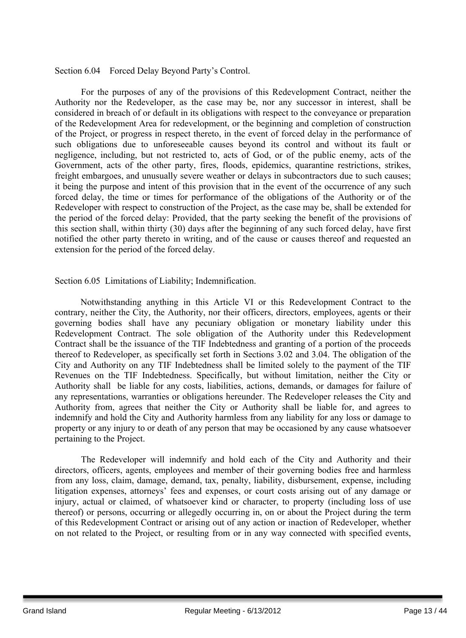#### Section 6.04 Forced Delay Beyond Party's Control.

For the purposes of any of the provisions of this Redevelopment Contract, neither the Authority nor the Redeveloper, as the case may be, nor any successor in interest, shall be considered in breach of or default in its obligations with respect to the conveyance or preparation of the Redevelopment Area for redevelopment, or the beginning and completion of construction of the Project, or progress in respect thereto, in the event of forced delay in the performance of such obligations due to unforeseeable causes beyond its control and without its fault or negligence, including, but not restricted to, acts of God, or of the public enemy, acts of the Government, acts of the other party, fires, floods, epidemics, quarantine restrictions, strikes, freight embargoes, and unusually severe weather or delays in subcontractors due to such causes; it being the purpose and intent of this provision that in the event of the occurrence of any such forced delay, the time or times for performance of the obligations of the Authority or of the Redeveloper with respect to construction of the Project, as the case may be, shall be extended for the period of the forced delay: Provided, that the party seeking the benefit of the provisions of this section shall, within thirty (30) days after the beginning of any such forced delay, have first notified the other party thereto in writing, and of the cause or causes thereof and requested an extension for the period of the forced delay.

Section 6.05 Limitations of Liability; Indemnification.

Notwithstanding anything in this Article VI or this Redevelopment Contract to the contrary, neither the City, the Authority, nor their officers, directors, employees, agents or their governing bodies shall have any pecuniary obligation or monetary liability under this Redevelopment Contract. The sole obligation of the Authority under this Redevelopment Contract shall be the issuance of the TIF Indebtedness and granting of a portion of the proceeds thereof to Redeveloper, as specifically set forth in Sections 3.02 and 3.04. The obligation of the City and Authority on any TIF Indebtedness shall be limited solely to the payment of the TIF Revenues on the TIF Indebtedness. Specifically, but without limitation, neither the City or Authority shall be liable for any costs, liabilities, actions, demands, or damages for failure of any representations, warranties or obligations hereunder. The Redeveloper releases the City and Authority from, agrees that neither the City or Authority shall be liable for, and agrees to indemnify and hold the City and Authority harmless from any liability for any loss or damage to property or any injury to or death of any person that may be occasioned by any cause whatsoever pertaining to the Project.

The Redeveloper will indemnify and hold each of the City and Authority and their directors, officers, agents, employees and member of their governing bodies free and harmless from any loss, claim, damage, demand, tax, penalty, liability, disbursement, expense, including litigation expenses, attorneys' fees and expenses, or court costs arising out of any damage or injury, actual or claimed, of whatsoever kind or character, to property (including loss of use thereof) or persons, occurring or allegedly occurring in, on or about the Project during the term of this Redevelopment Contract or arising out of any action or inaction of Redeveloper, whether on not related to the Project, or resulting from or in any way connected with specified events,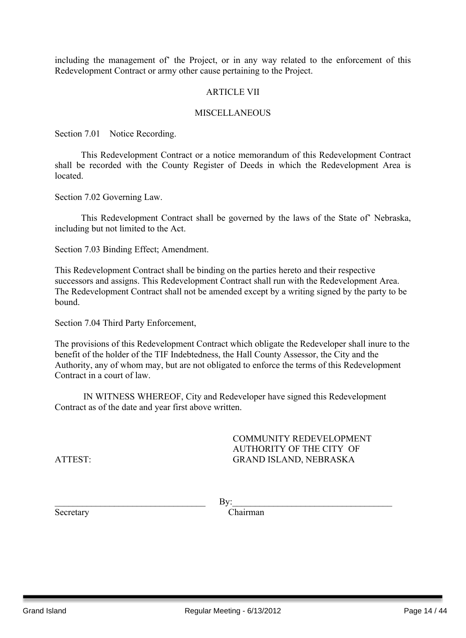including the management of' the Project, or in any way related to the enforcement of this Redevelopment Contract or army other cause pertaining to the Project.

#### **ARTICLE VII**

#### **MISCELLANEOUS**

Section 7.01 Notice Recording.

This Redevelopment Contract or a notice memorandum of this Redevelopment Contract shall be recorded with the County Register of Deeds in which the Redevelopment Area is located.

Section 7.02 Governing Law.

This Redevelopment Contract shall be governed by the laws of the State of' Nebraska, including but not limited to the Act.

Section 7.03 Binding Effect; Amendment.

This Redevelopment Contract shall be binding on the parties hereto and their respective successors and assigns. This Redevelopment Contract shall run with the Redevelopment Area. The Redevelopment Contract shall not be amended except by a writing signed by the party to be bound.

Section 7.04 Third Party Enforcement,

The provisions of this Redevelopment Contract which obligate the Redeveloper shall inure to the benefit of the holder of the TIF Indebtedness, the Hall County Assessor, the City and the Authority, any of whom may, but are not obligated to enforce the terms of this Redevelopment Contract in a court of law.

IN WITNESS WHEREOF, City and Redeveloper have signed this Redevelopment Contract as of the date and year first above written.

COMMUNITY REDEVELOPMENT AUTHORITY OF THE CITY OF ATTEST: GRAND ISLAND, NEBRASKA

 $\gamma$  By:

Secretary Chairman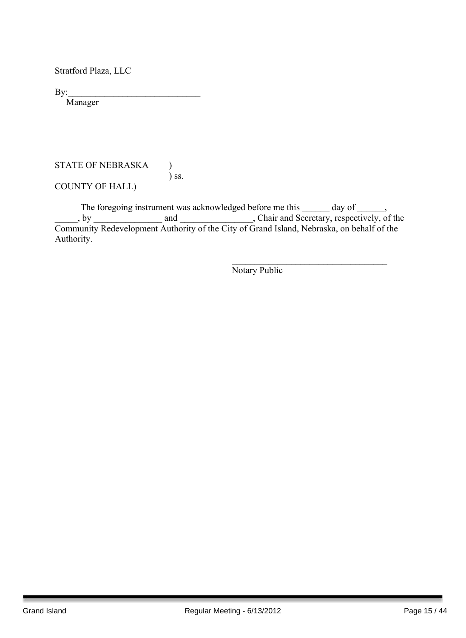Stratford Plaza, LLC

 $By:$ 

Manager

#### STATE OF NEBRASKA ) ) ss.

COUNTY OF HALL)

The foregoing instrument was acknowledged before me this \_\_\_\_\_\_ day of \_\_\_\_\_\_, by and and containing and chair and Secretary, respectively, of the Community Redevelopment Authority of the City of Grand Island, Nebraska, on behalf of the Authority.

Notary Public

\_\_\_\_\_\_\_\_\_\_\_\_\_\_\_\_\_\_\_\_\_\_\_\_\_\_\_\_\_\_\_\_\_\_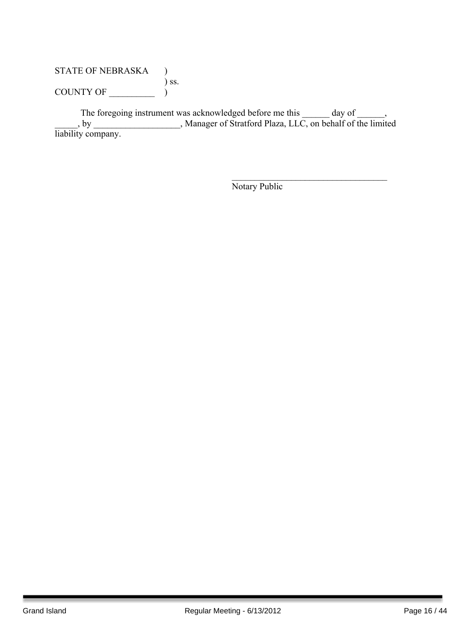## STATE OF NEBRASKA ) ) ss. COUNTY OF  $\_\_\_\_\_\_\_$

The foregoing instrument was acknowledged before me this \_\_\_\_\_\_ day of \_\_\_\_\_\_, \_\_\_\_\_, by \_\_\_\_\_\_\_\_\_\_\_\_\_\_\_\_\_\_\_, Manager of Stratford Plaza, LLC, on behalf of the limited liability company.

Notary Public

 $\mathcal{L}_\text{max}$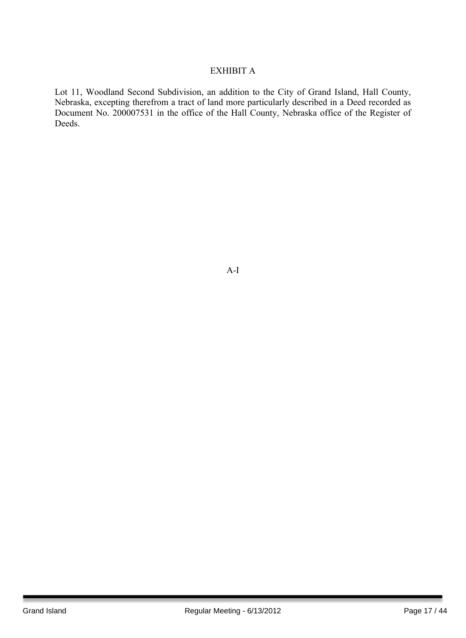## EXHIBIT A

Lot 11, Woodland Second Subdivision, an addition to the City of Grand Island, Hall County, Nebraska, excepting therefrom a tract of land more particularly described in a Deed recorded as Document No. 200007531 in the office of the Hall County, Nebraska office of the Register of Deeds.

A-I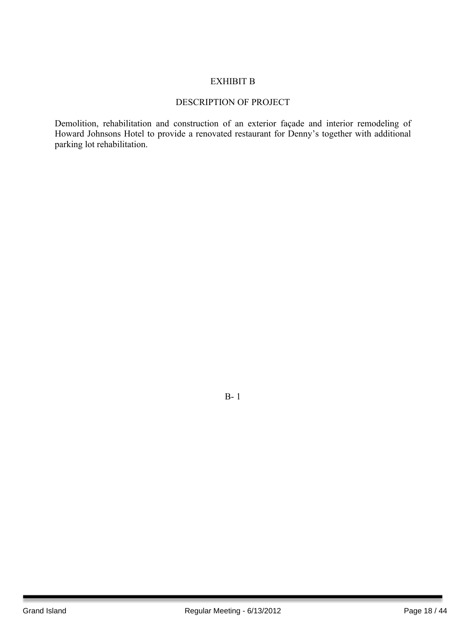## EXHIBIT B

## DESCRIPTION OF PROJECT

Demolition, rehabilitation and construction of an exterior façade and interior remodeling of Howard Johnsons Hotel to provide a renovated restaurant for Denny's together with additional parking lot rehabilitation.

B- 1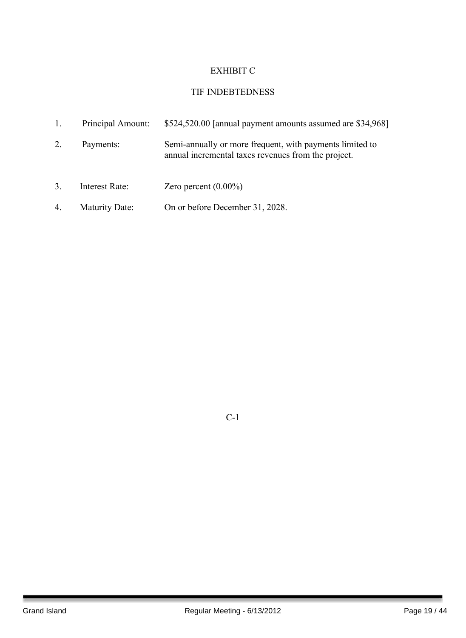## EXHIBIT C

## TIF INDEBTEDNESS

| 1. | Principal Amount:     | \$524,520.00 [annual payment amounts assumed are \$34,968]                                                      |
|----|-----------------------|-----------------------------------------------------------------------------------------------------------------|
| 2. | Payments:             | Semi-annually or more frequent, with payments limited to<br>annual incremental taxes revenues from the project. |
| 3. | Interest Rate:        | Zero percent $(0.00\%)$                                                                                         |
| 4. | <b>Maturity Date:</b> | On or before December 31, 2028.                                                                                 |

C-1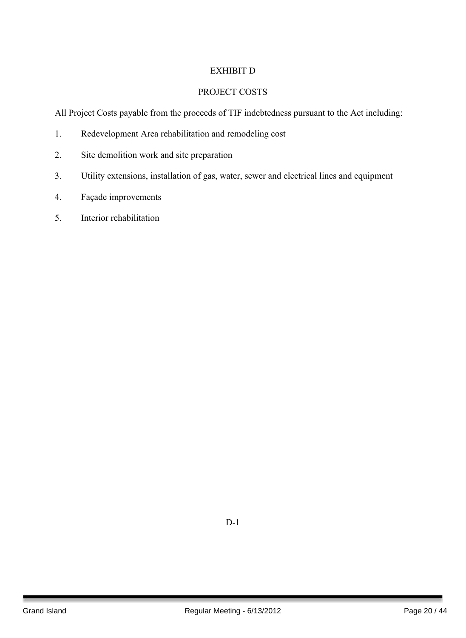## EXHIBIT D

## PROJECT COSTS

All Project Costs payable from the proceeds of TIF indebtedness pursuant to the Act including:

- 1. Redevelopment Area rehabilitation and remodeling cost
- 2. Site demolition work and site preparation
- 3. Utility extensions, installation of gas, water, sewer and electrical lines and equipment
- 4. Façade improvements
- 5. Interior rehabilitation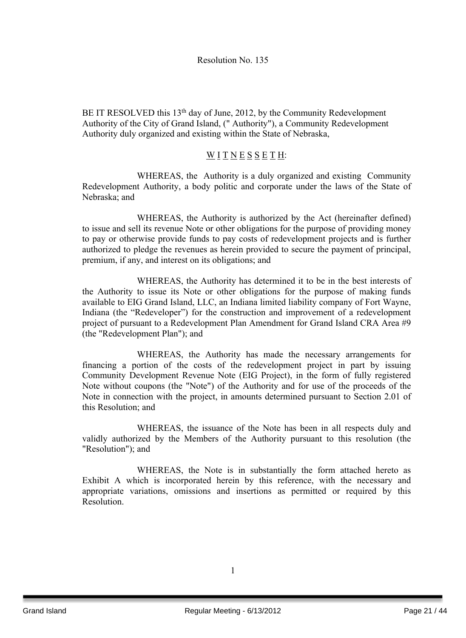BE IT RESOLVED this 13<sup>th</sup> day of June, 2012, by the Community Redevelopment Authority of the City of Grand Island, (" Authority"), a Community Redevelopment Authority duly organized and existing within the State of Nebraska,

## WITNESSETH:

WHEREAS, the Authority is a duly organized and existing Community Redevelopment Authority, a body politic and corporate under the laws of the State of Nebraska; and

WHEREAS, the Authority is authorized by the Act (hereinafter defined) to issue and sell its revenue Note or other obligations for the purpose of providing money to pay or otherwise provide funds to pay costs of redevelopment projects and is further authorized to pledge the revenues as herein provided to secure the payment of principal, premium, if any, and interest on its obligations; and

WHEREAS, the Authority has determined it to be in the best interests of the Authority to issue its Note or other obligations for the purpose of making funds available to EIG Grand Island, LLC, an Indiana limited liability company of Fort Wayne, Indiana (the "Redeveloper") for the construction and improvement of a redevelopment project of pursuant to a Redevelopment Plan Amendment for Grand Island CRA Area #9 (the "Redevelopment Plan"); and

WHEREAS, the Authority has made the necessary arrangements for financing a portion of the costs of the redevelopment project in part by issuing Community Development Revenue Note (EIG Project), in the form of fully registered Note without coupons (the "Note") of the Authority and for use of the proceeds of the Note in connection with the project, in amounts determined pursuant to Section 2.01 of this Resolution; and

WHEREAS, the issuance of the Note has been in all respects duly and validly authorized by the Members of the Authority pursuant to this resolution (the "Resolution"); and

WHEREAS, the Note is in substantially the form attached hereto as Exhibit A which is incorporated herein by this reference, with the necessary and appropriate variations, omissions and insertions as permitted or required by this Resolution.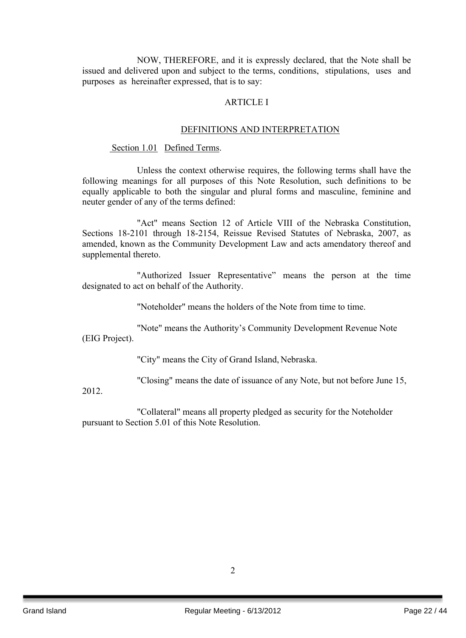NOW, THEREFORE, and it is expressly declared, that the Note shall be issued and delivered upon and subject to the terms, conditions, stipulations, uses and purposes as hereinafter expressed, that is to say:

#### ARTICLE I

#### DEFINITIONS AND INTERPRETATION

#### Section 1.01 Defined Terms.

Unless the context otherwise requires, the following terms shall have the following meanings for all purposes of this Note Resolution, such definitions to be equally applicable to both the singular and plural forms and masculine, feminine and neuter gender of any of the terms defined:

"Act" means Section 12 of Article VIII of the Nebraska Constitution, Sections 18-2101 through 18-2154, Reissue Revised Statutes of Nebraska, 2007, as amended, known as the Community Development Law and acts amendatory thereof and supplemental thereto.

"Authorized Issuer Representative" means the person at the time designated to act on behalf of the Authority.

"Noteholder" means the holders of the Note from time to time.

"Note" means the Authority's Community Development Revenue Note (EIG Project).

"City" means the City of Grand Island, Nebraska.

"Closing" means the date of issuance of any Note, but not before June 15,

2012.

"Collateral" means all property pledged as security for the Noteholder pursuant to Section 5.01 of this Note Resolution.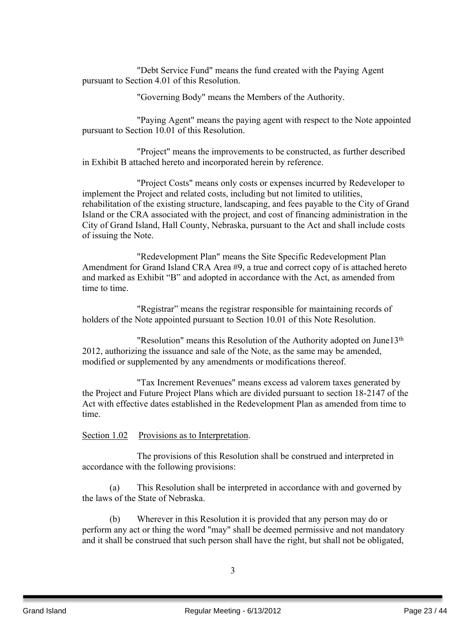"Debt Service Fund" means the fund created with the Paying Agent pursuant to Section 4.01 of this Resolution.

"Governing Body" means the Members of the Authority.

"Paying Agent" means the paying agent with respect to the Note appointed pursuant to Section 10.01 of this Resolution.

"Project" means the improvements to be constructed, as further described in Exhibit B attached hereto and incorporated herein by reference.

"Project Costs" means only costs or expenses incurred by Redeveloper to implement the Project and related costs, including but not limited to utilities, rehabilitation of the existing structure, landscaping, and fees payable to the City of Grand Island or the CRA associated with the project, and cost of financing administration in the City of Grand Island, Hall County, Nebraska, pursuant to the Act and shall include costs of issuing the Note.

"Redevelopment Plan" means the Site Specific Redevelopment Plan Amendment for Grand Island CRA Area #9, a true and correct copy of is attached hereto and marked as Exhibit "B" and adopted in accordance with the Act, as amended from time to time.

"Registrar" means the registrar responsible for maintaining records of holders of the Note appointed pursuant to Section 10.01 of this Note Resolution.

"Resolution" means this Resolution of the Authority adopted on June13<sup>th</sup> 2012, authorizing the issuance and sale of the Note, as the same may be amended, modified or supplemented by any amendments or modifications thereof.

"Tax Increment Revenues" means excess ad valorem taxes generated by the Project and Future Project Plans which are divided pursuant to section 18-2147 of the Act with effective dates established in the Redevelopment Plan as amended from time to time.

#### Section 1.02 Provisions as to Interpretation.

The provisions of this Resolution shall be construed and interpreted in accordance with the following provisions:

(a) This Resolution shall be interpreted in accordance with and governed by the laws of the State of Nebraska.

(b) Wherever in this Resolution it is provided that any person may do or perform any act or thing the word "may" shall be deemed permissive and not mandatory and it shall be construed that such person shall have the right, but shall not be obligated,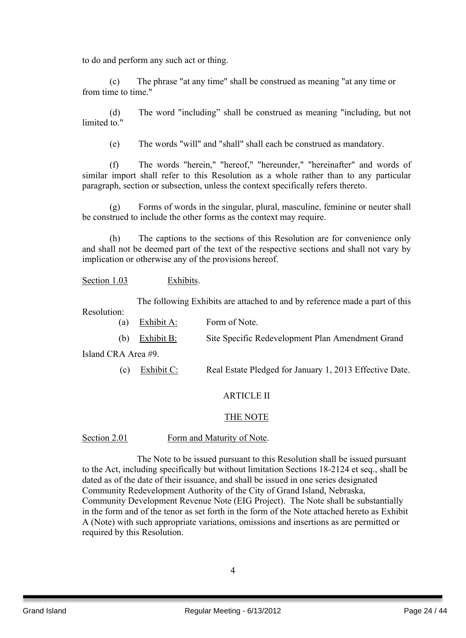to do and perform any such act or thing.

(c) The phrase "at any time" shall be construed as meaning "at any time or from time to time."

(d) The word "including" shall be construed as meaning "including, but not limited to "

(e) The words "will" and "shall" shall each be construed as mandatory.

(f) The words "herein," "hereof," "hereunder," "hereinafter" and words of similar import shall refer to this Resolution as a whole rather than to any particular paragraph, section or subsection, unless the context specifically refers thereto.

(g) Forms of words in the singular, plural, masculine, feminine or neuter shall be construed to include the other forms as the context may require.

(h) The captions to the sections of this Resolution are for convenience only and shall not be deemed part of the text of the respective sections and shall not vary by implication or otherwise any of the provisions hereof.

Section 1.03 Exhibits.

The following Exhibits are attached to and by reference made a part of this Resolution:

- (a) Exhibit A: Form of Note.
- (b) Exhibit B: Site Specific Redevelopment Plan Amendment Grand

Island CRA Area #9.

(c) Exhibit C: Real Estate Pledged for January 1, 2013 Effective Date.

#### ARTICLE II

#### THE NOTE

#### Section 2.01 Form and Maturity of Note.

The Note to be issued pursuant to this Resolution shall be issued pursuant to the Act, including specifically but without limitation Sections 18-2124 et seq., shall be dated as of the date of their issuance, and shall be issued in one series designated Community Redevelopment Authority of the City of Grand Island, Nebraska, Community Development Revenue Note (EIG Project). The Note shall be substantially in the form and of the tenor as set forth in the form of the Note attached hereto as Exhibit A (Note) with such appropriate variations, omissions and insertions as are permitted or required by this Resolution.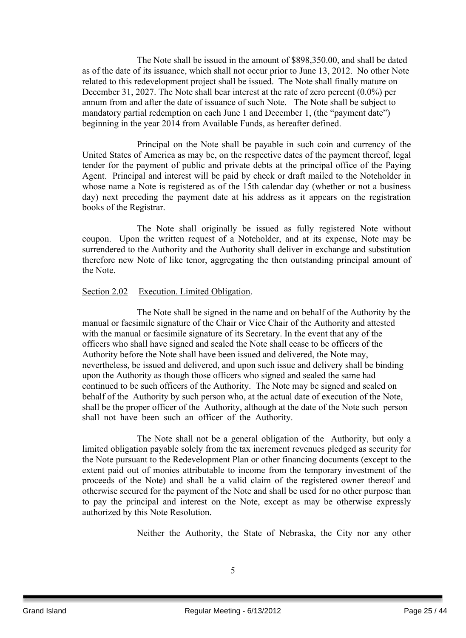The Note shall be issued in the amount of \$898,350.00, and shall be dated as of the date of its issuance, which shall not occur prior to June 13, 2012. No other Note related to this redevelopment project shall be issued. The Note shall finally mature on December 31, 2027. The Note shall bear interest at the rate of zero percent (0.0%) per annum from and after the date of issuance of such Note. The Note shall be subject to mandatory partial redemption on each June 1 and December 1, (the "payment date") beginning in the year 2014 from Available Funds, as hereafter defined.

Principal on the Note shall be payable in such coin and currency of the United States of America as may be, on the respective dates of the payment thereof, legal tender for the payment of public and private debts at the principal office of the Paying Agent. Principal and interest will be paid by check or draft mailed to the Noteholder in whose name a Note is registered as of the 15th calendar day (whether or not a business day) next preceding the payment date at his address as it appears on the registration books of the Registrar.

The Note shall originally be issued as fully registered Note without coupon. Upon the written request of a Noteholder, and at its expense, Note may be surrendered to the Authority and the Authority shall deliver in exchange and substitution therefore new Note of like tenor, aggregating the then outstanding principal amount of the Note.

#### Section 2.02 Execution. Limited Obligation.

The Note shall be signed in the name and on behalf of the Authority by the manual or facsimile signature of the Chair or Vice Chair of the Authority and attested with the manual or facsimile signature of its Secretary. In the event that any of the officers who shall have signed and sealed the Note shall cease to be officers of the Authority before the Note shall have been issued and delivered, the Note may, nevertheless, be issued and delivered, and upon such issue and delivery shall be binding upon the Authority as though those officers who signed and sealed the same had continued to be such officers of the Authority. The Note may be signed and sealed on behalf of the Authority by such person who, at the actual date of execution of the Note, shall be the proper officer of the Authority, although at the date of the Note such person shall not have been such an officer of the Authority.

The Note shall not be a general obligation of the Authority, but only a limited obligation payable solely from the tax increment revenues pledged as security for the Note pursuant to the Redevelopment Plan or other financing documents (except to the extent paid out of monies attributable to income from the temporary investment of the proceeds of the Note) and shall be a valid claim of the registered owner thereof and otherwise secured for the payment of the Note and shall be used for no other purpose than to pay the principal and interest on the Note, except as may be otherwise expressly authorized by this Note Resolution.

Neither the Authority, the State of Nebraska, the City nor any other

5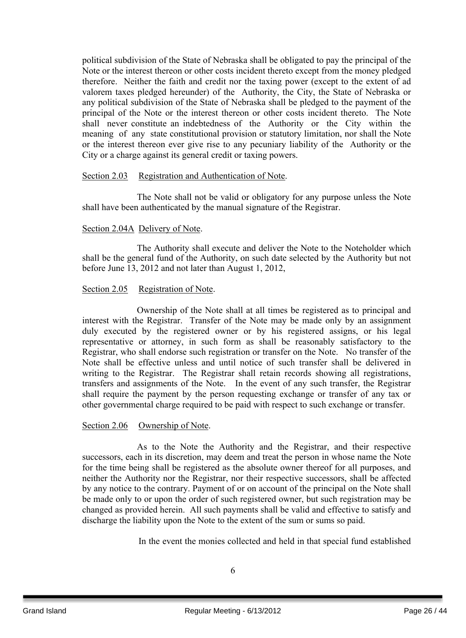political subdivision of the State of Nebraska shall be obligated to pay the principal of the Note or the interest thereon or other costs incident thereto except from the money pledged therefore. Neither the faith and credit nor the taxing power (except to the extent of ad valorem taxes pledged hereunder) of the Authority, the City, the State of Nebraska or any political subdivision of the State of Nebraska shall be pledged to the payment of the principal of the Note or the interest thereon or other costs incident thereto. The Note shall never constitute an indebtedness of the Authority or the City within the meaning of any state constitutional provision or statutory limitation, nor shall the Note or the interest thereon ever give rise to any pecuniary liability of the Authority or the City or a charge against its general credit or taxing powers.

#### Section 2.03 Registration and Authentication of Note.

The Note shall not be valid or obligatory for any purpose unless the Note shall have been authenticated by the manual signature of the Registrar.

#### Section 2.04A Delivery of Note.

The Authority shall execute and deliver the Note to the Noteholder which shall be the general fund of the Authority, on such date selected by the Authority but not before June 13, 2012 and not later than August 1, 2012,

#### Section 2.05 Registration of Note.

Ownership of the Note shall at all times be registered as to principal and interest with the Registrar. Transfer of the Note may be made only by an assignment duly executed by the registered owner or by his registered assigns, or his legal representative or attorney, in such form as shall be reasonably satisfactory to the Registrar, who shall endorse such registration or transfer on the Note. No transfer of the Note shall be effective unless and until notice of such transfer shall be delivered in writing to the Registrar. The Registrar shall retain records showing all registrations, transfers and assignments of the Note. In the event of any such transfer, the Registrar shall require the payment by the person requesting exchange or transfer of any tax or other governmental charge required to be paid with respect to such exchange or transfer.

#### Section 2.06 Ownership of Note.

As to the Note the Authority and the Registrar, and their respective successors, each in its discretion, may deem and treat the person in whose name the Note for the time being shall be registered as the absolute owner thereof for all purposes, and neither the Authority nor the Registrar, nor their respective successors, shall be affected by any notice to the contrary. Payment of or on account of the principal on the Note shall be made only to or upon the order of such registered owner, but such registration may be changed as provided herein. All such payments shall be valid and effective to satisfy and discharge the liability upon the Note to the extent of the sum or sums so paid.

In the event the monies collected and held in that special fund established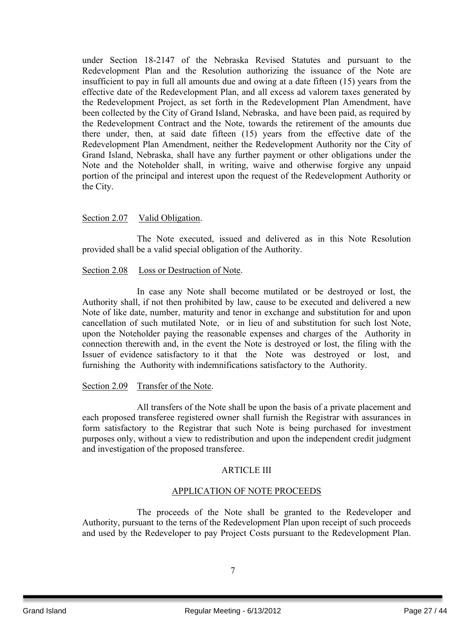under Section 18-2147 of the Nebraska Revised Statutes and pursuant to the Redevelopment Plan and the Resolution authorizing the issuance of the Note are insufficient to pay in full all amounts due and owing at a date fifteen (15) years from the effective date of the Redevelopment Plan, and all excess ad valorem taxes generated by the Redevelopment Project, as set forth in the Redevelopment Plan Amendment, have been collected by the City of Grand Island, Nebraska, and have been paid, as required by the Redevelopment Contract and the Note, towards the retirement of the amounts due there under, then, at said date fifteen (15) years from the effective date of the Redevelopment Plan Amendment, neither the Redevelopment Authority nor the City of Grand Island, Nebraska, shall have any further payment or other obligations under the Note and the Noteholder shall, in writing, waive and otherwise forgive any unpaid portion of the principal and interest upon the request of the Redevelopment Authority or the City.

#### Section 2.07 Valid Obligation.

The Note executed, issued and delivered as in this Note Resolution provided shall be a valid special obligation of the Authority.

#### Section 2.08 Loss or Destruction of Note.

In case any Note shall become mutilated or be destroyed or lost, the Authority shall, if not then prohibited by law, cause to be executed and delivered a new Note of like date, number, maturity and tenor in exchange and substitution for and upon cancellation of such mutilated Note, or in lieu of and substitution for such lost Note, upon the Noteholder paying the reasonable expenses and charges of the Authority in connection therewith and, in the event the Note is destroyed or lost, the filing with the Issuer of evidence satisfactory to it that the Note was destroyed or lost, and furnishing the Authority with indemnifications satisfactory to the Authority.

#### Section 2.09 Transfer of the Note.

All transfers of the Note shall be upon the basis of a private placement and each proposed transferee registered owner shall furnish the Registrar with assurances in form satisfactory to the Registrar that such Note is being purchased for investment purposes only, without a view to redistribution and upon the independent credit judgment and investigation of the proposed transferee.

#### ARTICLE III

#### APPLICATION OF NOTE PROCEEDS

The proceeds of the Note shall be granted to the Redeveloper and Authority, pursuant to the terns of the Redevelopment Plan upon receipt of such proceeds and used by the Redeveloper to pay Project Costs pursuant to the Redevelopment Plan.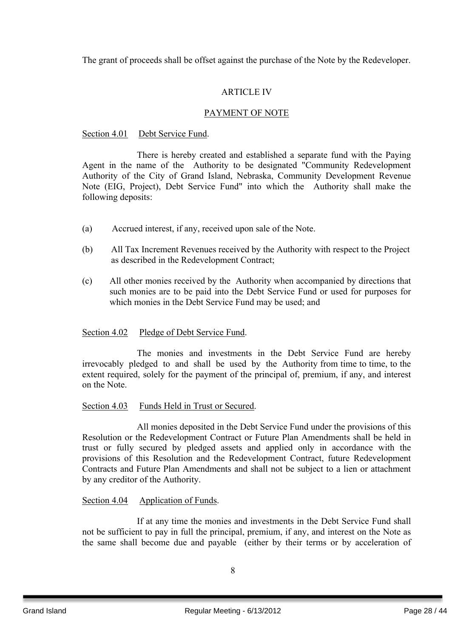The grant of proceeds shall be offset against the purchase of the Note by the Redeveloper.

## ARTICLE IV

## PAYMENT OF NOTE

#### Section 4.01 Debt Service Fund.

There is hereby created and established a separate fund with the Paying Agent in the name of the Authority to be designated "Community Redevelopment Authority of the City of Grand Island, Nebraska, Community Development Revenue Note (EIG, Project), Debt Service Fund" into which the Authority shall make the following deposits:

- (a) Accrued interest, if any, received upon sale of the Note.
- (b) All Tax Increment Revenues received by the Authority with respect to the Project as described in the Redevelopment Contract;
- (c) All other monies received by the Authority when accompanied by directions that such monies are to be paid into the Debt Service Fund or used for purposes for which monies in the Debt Service Fund may be used; and

## Section 4.02 Pledge of Debt Service Fund.

The monies and investments in the Debt Service Fund are hereby irrevocably pledged to and shall be used by the Authority from time to time, to the extent required, solely for the payment of the principal of, premium, if any, and interest on the Note.

## Section 4.03 Funds Held in Trust or Secured.

All monies deposited in the Debt Service Fund under the provisions of this Resolution or the Redevelopment Contract or Future Plan Amendments shall be held in trust or fully secured by pledged assets and applied only in accordance with the provisions of this Resolution and the Redevelopment Contract, future Redevelopment Contracts and Future Plan Amendments and shall not be subject to a lien or attachment by any creditor of the Authority.

## Section 4.04 Application of Funds.

If at any time the monies and investments in the Debt Service Fund shall not be sufficient to pay in full the principal, premium, if any, and interest on the Note as the same shall become due and payable (either by their terms or by acceleration of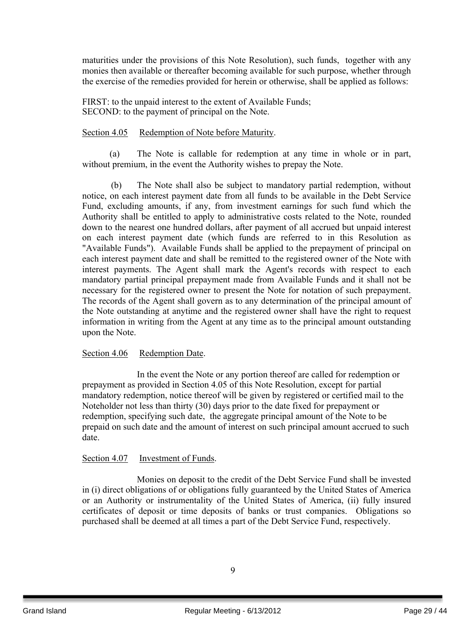maturities under the provisions of this Note Resolution), such funds, together with any monies then available or thereafter becoming available for such purpose, whether through the exercise of the remedies provided for herein or otherwise, shall be applied as follows:

FIRST: to the unpaid interest to the extent of Available Funds; SECOND: to the payment of principal on the Note.

#### Section 4.05 Redemption of Note before Maturity.

(a) The Note is callable for redemption at any time in whole or in part, without premium, in the event the Authority wishes to prepay the Note.

(b) The Note shall also be subject to mandatory partial redemption, without notice, on each interest payment date from all funds to be available in the Debt Service Fund, excluding amounts, if any, from investment earnings for such fund which the Authority shall be entitled to apply to administrative costs related to the Note, rounded down to the nearest one hundred dollars, after payment of all accrued but unpaid interest on each interest payment date (which funds are referred to in this Resolution as "Available Funds"). Available Funds shall be applied to the prepayment of principal on each interest payment date and shall be remitted to the registered owner of the Note with interest payments. The Agent shall mark the Agent's records with respect to each mandatory partial principal prepayment made from Available Funds and it shall not be necessary for the registered owner to present the Note for notation of such prepayment. The records of the Agent shall govern as to any determination of the principal amount of the Note outstanding at anytime and the registered owner shall have the right to request information in writing from the Agent at any time as to the principal amount outstanding upon the Note.

#### Section 4.06 Redemption Date.

In the event the Note or any portion thereof are called for redemption or prepayment as provided in Section 4.05 of this Note Resolution, except for partial mandatory redemption, notice thereof will be given by registered or certified mail to the Noteholder not less than thirty (30) days prior to the date fixed for prepayment or redemption, specifying such date, the aggregate principal amount of the Note to be prepaid on such date and the amount of interest on such principal amount accrued to such date.

#### Section 4.07 Investment of Funds.

Monies on deposit to the credit of the Debt Service Fund shall be invested in (i) direct obligations of or obligations fully guaranteed by the United States of America or an Authority or instrumentality of the United States of America, (ii) fully insured certificates of deposit or time deposits of banks or trust companies. Obligations so purchased shall be deemed at all times a part of the Debt Service Fund, respectively.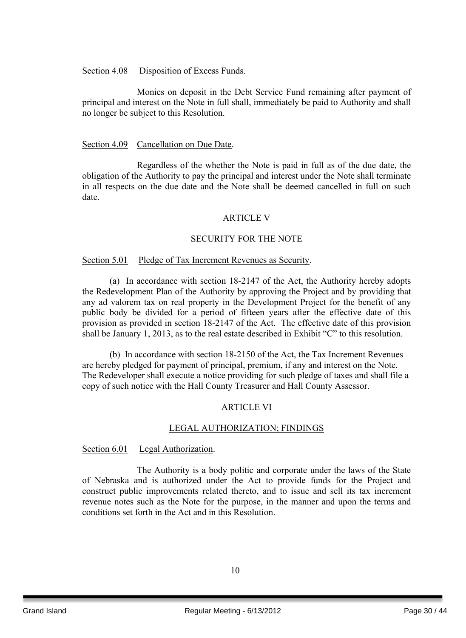#### Section 4.08 Disposition of Excess Funds.

Monies on deposit in the Debt Service Fund remaining after payment of principal and interest on the Note in full shall, immediately be paid to Authority and shall no longer be subject to this Resolution.

#### Section 4.09 Cancellation on Due Date.

Regardless of the whether the Note is paid in full as of the due date, the obligation of the Authority to pay the principal and interest under the Note shall terminate in all respects on the due date and the Note shall be deemed cancelled in full on such date.

#### ARTICLE V

#### SECURITY FOR THE NOTE

#### Section 5.01 Pledge of Tax Increment Revenues as Security.

(a) In accordance with section 18-2147 of the Act, the Authority hereby adopts the Redevelopment Plan of the Authority by approving the Project and by providing that any ad valorem tax on real property in the Development Project for the benefit of any public body be divided for a period of fifteen years after the effective date of this provision as provided in section 18-2147 of the Act. The effective date of this provision shall be January 1, 2013, as to the real estate described in Exhibit "C" to this resolution.

(b) In accordance with section 18-2150 of the Act, the Tax Increment Revenues are hereby pledged for payment of principal, premium, if any and interest on the Note. The Redeveloper shall execute a notice providing for such pledge of taxes and shall file a copy of such notice with the Hall County Treasurer and Hall County Assessor.

## ARTICLE VI

## LEGAL AUTHORIZATION; FINDINGS

#### Section 6.01 Legal Authorization.

The Authority is a body politic and corporate under the laws of the State of Nebraska and is authorized under the Act to provide funds for the Project and construct public improvements related thereto, and to issue and sell its tax increment revenue notes such as the Note for the purpose, in the manner and upon the terms and conditions set forth in the Act and in this Resolution.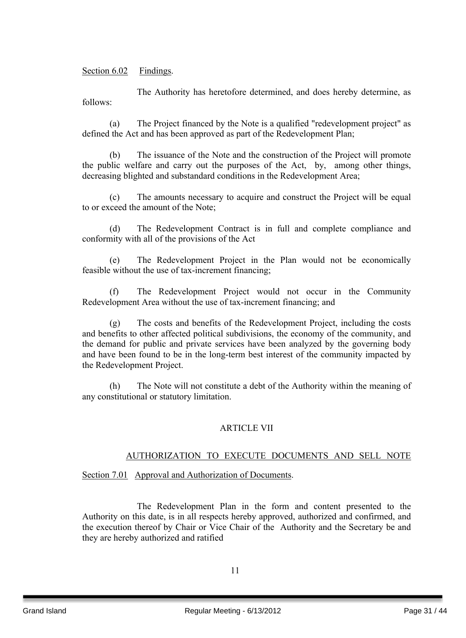## Section 6.02 Findings.

The Authority has heretofore determined, and does hereby determine, as follows:

(a) The Project financed by the Note is a qualified "redevelopment project" as defined the Act and has been approved as part of the Redevelopment Plan;

(b) The issuance of the Note and the construction of the Project will promote the public welfare and carry out the purposes of the Act, by, among other things, decreasing blighted and substandard conditions in the Redevelopment Area;

(c) The amounts necessary to acquire and construct the Project will be equal to or exceed the amount of the Note;

(d) The Redevelopment Contract is in full and complete compliance and conformity with all of the provisions of the Act

(e) The Redevelopment Project in the Plan would not be economically feasible without the use of tax-increment financing;

(f) The Redevelopment Project would not occur in the Community Redevelopment Area without the use of tax-increment financing; and

(g) The costs and benefits of the Redevelopment Project, including the costs and benefits to other affected political subdivisions, the economy of the community, and the demand for public and private services have been analyzed by the governing body and have been found to be in the long-term best interest of the community impacted by the Redevelopment Project.

(h) The Note will not constitute a debt of the Authority within the meaning of any constitutional or statutory limitation.

## ARTICLE VII

## AUTHORIZATION TO EXECUTE DOCUMENTS AND SELL NOTE

## Section 7.01 Approval and Authorization of Documents.

The Redevelopment Plan in the form and content presented to the Authority on this date, is in all respects hereby approved, authorized and confirmed, and the execution thereof by Chair or Vice Chair of the Authority and the Secretary be and they are hereby authorized and ratified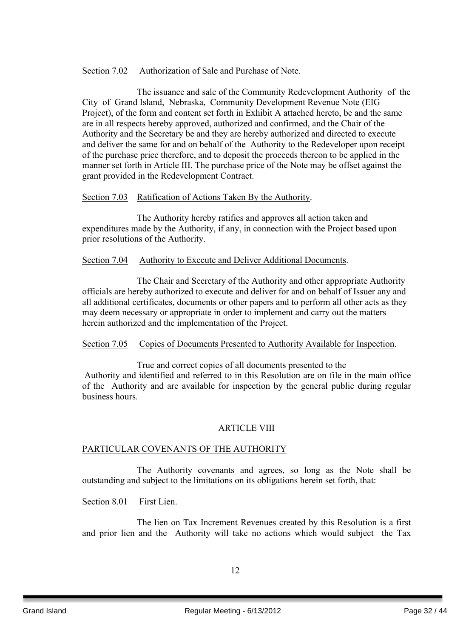## Section 7.02 Authorization of Sale and Purchase of Note.

The issuance and sale of the Community Redevelopment Authority of the City of Grand Island, Nebraska, Community Development Revenue Note (EIG Project), of the form and content set forth in Exhibit A attached hereto, be and the same are in all respects hereby approved, authorized and confirmed, and the Chair of the Authority and the Secretary be and they are hereby authorized and directed to execute and deliver the same for and on behalf of the Authority to the Redeveloper upon receipt of the purchase price therefore, and to deposit the proceeds thereon to be applied in the manner set forth in Article III. The purchase price of the Note may be offset against the grant provided in the Redevelopment Contract.

## Section 7.03 Ratification of Actions Taken By the Authority.

The Authority hereby ratifies and approves all action taken and expenditures made by the Authority, if any, in connection with the Project based upon prior resolutions of the Authority.

#### Section 7.04 Authority to Execute and Deliver Additional Documents.

The Chair and Secretary of the Authority and other appropriate Authority officials are hereby authorized to execute and deliver for and on behalf of Issuer any and all additional certificates, documents or other papers and to perform all other acts as they may deem necessary or appropriate in order to implement and carry out the matters herein authorized and the implementation of the Project.

## Section 7.05 Copies of Documents Presented to Authority Available for Inspection.

True and correct copies of all documents presented to the Authority and identified and referred to in this Resolution are on file in the main office of the Authority and are available for inspection by the general public during regular business hours.

## ARTICLE VIII

## PARTICULAR COVENANTS OF THE AUTHORITY

The Authority covenants and agrees, so long as the Note shall be outstanding and subject to the limitations on its obligations herein set forth, that:

#### Section 8.01 First Lien.

The lien on Tax Increment Revenues created by this Resolution is a first and prior lien and the Authority will take no actions which would subject the Tax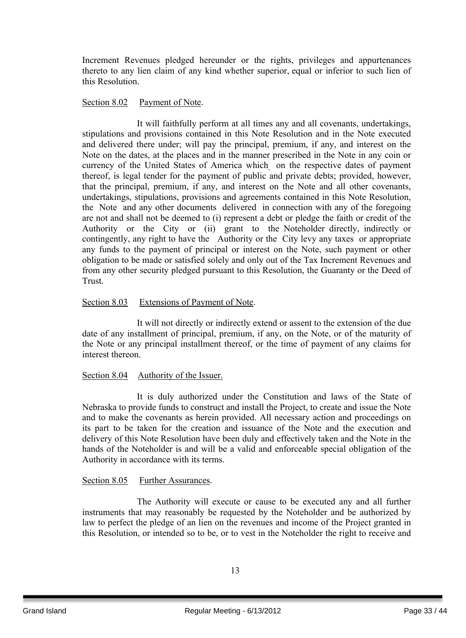Increment Revenues pledged hereunder or the rights, privileges and appurtenances thereto to any lien claim of any kind whether superior, equal or inferior to such lien of this Resolution.

#### Section 8.02 Payment of Note.

It will faithfully perform at all times any and all covenants, undertakings, stipulations and provisions contained in this Note Resolution and in the Note executed and delivered there under; will pay the principal, premium, if any, and interest on the Note on the dates, at the places and in the manner prescribed in the Note in any coin or currency of the United States of America which, on the respective dates of payment thereof, is legal tender for the payment of public and private debts; provided, however, that the principal, premium, if any, and interest on the Note and all other covenants, undertakings, stipulations, provisions and agreements contained in this Note Resolution, the Note and any other documents delivered in connection with any of the foregoing are not and shall not be deemed to (i) represent a debt or pledge the faith or credit of the Authority or the City or (ii) grant to the Noteholder directly, indirectly or contingently, any right to have the Authority or the City levy any taxes or appropriate any funds to the payment of principal or interest on the Note, such payment or other obligation to be made or satisfied solely and only out of the Tax Increment Revenues and from any other security pledged pursuant to this Resolution, the Guaranty or the Deed of Trust.

## Section 8.03 Extensions of Payment of Note.

It will not directly or indirectly extend or assent to the extension of the due date of any installment of principal, premium, if any, on the Note, or of the maturity of the Note or any principal installment thereof, or the time of payment of any claims for interest thereon.

## Section 8.04 Authority of the Issuer.

It is duly authorized under the Constitution and laws of the State of Nebraska to provide funds to construct and install the Project, to create and issue the Note and to make the covenants as herein provided. All necessary action and proceedings on its part to be taken for the creation and issuance of the Note and the execution and delivery of this Note Resolution have been duly and effectively taken and the Note in the hands of the Noteholder is and will be a valid and enforceable special obligation of the Authority in accordance with its terms.

#### Section 8.05 Further Assurances.

The Authority will execute or cause to be executed any and all further instruments that may reasonably be requested by the Noteholder and be authorized by law to perfect the pledge of an lien on the revenues and income of the Project granted in this Resolution, or intended so to be, or to vest in the Noteholder the right to receive and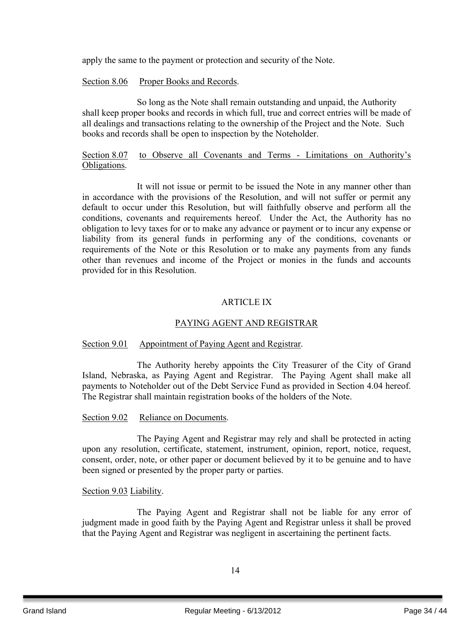apply the same to the payment or protection and security of the Note.

#### Section 8.06 Proper Books and Records.

So long as the Note shall remain outstanding and unpaid, the Authority shall keep proper books and records in which full, true and correct entries will be made of all dealings and transactions relating to the ownership of the Project and the Note. Such books and records shall be open to inspection by the Noteholder.

#### Section 8.07 to Observe all Covenants and Terms - Limitations on Authority's Obligations.

It will not issue or permit to be issued the Note in any manner other than in accordance with the provisions of the Resolution, and will not suffer or permit any default to occur under this Resolution, but will faithfully observe and perform all the conditions, covenants and requirements hereof. Under the Act, the Authority has no obligation to levy taxes for or to make any advance or payment or to incur any expense or liability from its general funds in performing any of the conditions, covenants or requirements of the Note or this Resolution or to make any payments from any funds other than revenues and income of the Project or monies in the funds and accounts provided for in this Resolution.

## ARTICLE IX

## PAYING AGENT AND REGISTRAR

## Section 9.01 Appointment of Paying Agent and Registrar.

The Authority hereby appoints the City Treasurer of the City of Grand Island, Nebraska, as Paying Agent and Registrar. The Paying Agent shall make all payments to Noteholder out of the Debt Service Fund as provided in Section 4.04 hereof. The Registrar shall maintain registration books of the holders of the Note.

## Section 9.02 Reliance on Documents.

The Paying Agent and Registrar may rely and shall be protected in acting upon any resolution, certificate, statement, instrument, opinion, report, notice, request, consent, order, note, or other paper or document believed by it to be genuine and to have been signed or presented by the proper party or parties.

## Section 9.03 Liability.

The Paying Agent and Registrar shall not be liable for any error of judgment made in good faith by the Paying Agent and Registrar unless it shall be proved that the Paying Agent and Registrar was negligent in ascertaining the pertinent facts.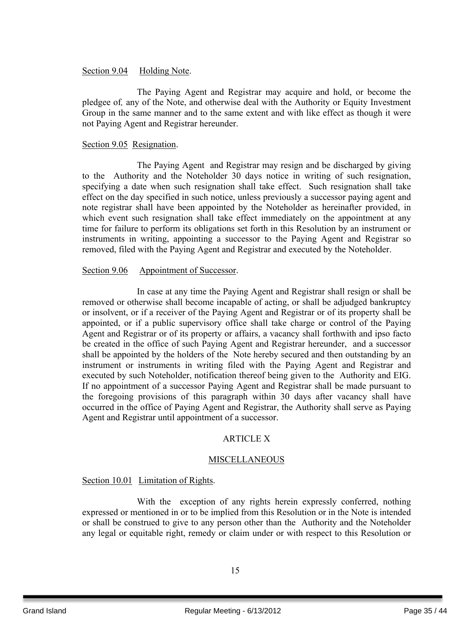#### Section 9.04 Holding Note.

The Paying Agent and Registrar may acquire and hold, or become the pledgee of*,* any of the Note, and otherwise deal with the Authority or Equity Investment Group in the same manner and to the same extent and with like effect as though it were not Paying Agent and Registrar hereunder.

#### Section 9.05 Resignation.

The Paying Agent and Registrar may resign and be discharged by giving to the Authority and the Noteholder 30 days notice in writing of such resignation, specifying a date when such resignation shall take effect. Such resignation shall take effect on the day specified in such notice, unless previously a successor paying agent and note registrar shall have been appointed by the Noteholder as hereinafter provided, in which event such resignation shall take effect immediately on the appointment at any time for failure to perform its obligations set forth in this Resolution by an instrument or instruments in writing, appointing a successor to the Paying Agent and Registrar so removed, filed with the Paying Agent and Registrar and executed by the Noteholder.

#### Section 9.06 Appointment of Successor.

In case at any time the Paying Agent and Registrar shall resign or shall be removed or otherwise shall become incapable of acting, or shall be adjudged bankruptcy or insolvent, or if a receiver of the Paying Agent and Registrar or of its property shall be appointed, or if a public supervisory office shall take charge or control of the Paying Agent and Registrar or of its property or affairs, a vacancy shall forthwith and ipso facto be created in the office of such Paying Agent and Registrar hereunder, and a successor shall be appointed by the holders of the Note hereby secured and then outstanding by an instrument or instruments in writing filed with the Paying Agent and Registrar and executed by such Noteholder, notification thereof being given to the Authority and EIG. If no appointment of a successor Paying Agent and Registrar shall be made pursuant to the foregoing provisions of this paragraph within 30 days after vacancy shall have occurred in the office of Paying Agent and Registrar, the Authority shall serve as Paying Agent and Registrar until appointment of a successor.

## ARTICLE X

## **MISCELLANEOUS**

## Section 10.01 Limitation of Rights.

With the exception of any rights herein expressly conferred, nothing expressed or mentioned in or to be implied from this Resolution or in the Note is intended or shall be construed to give to any person other than the Authority and the Noteholder any legal or equitable right, remedy or claim under or with respect to this Resolution or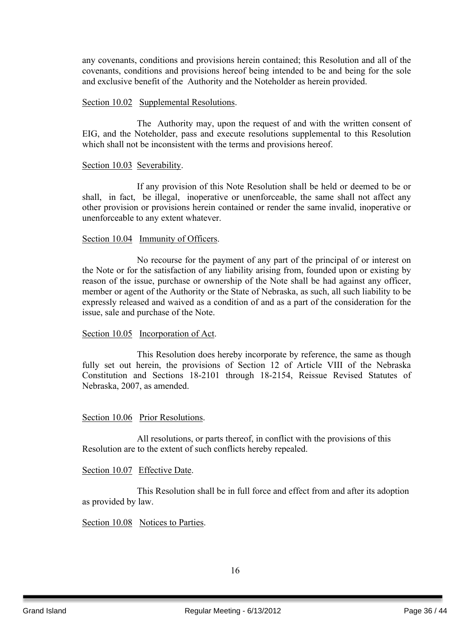any covenants, conditions and provisions herein contained; this Resolution and all of the covenants, conditions and provisions hereof being intended to be and being for the sole and exclusive benefit of the Authority and the Noteholder as herein provided.

#### Section 10.02 Supplemental Resolutions.

The Authority may, upon the request of and with the written consent of EIG, and the Noteholder, pass and execute resolutions supplemental to this Resolution which shall not be inconsistent with the terms and provisions hereof.

#### Section 10.03 Severability.

If any provision of this Note Resolution shall be held or deemed to be or shall, in fact, be illegal, inoperative or unenforceable, the same shall not affect any other provision or provisions herein contained or render the same invalid, inoperative or unenforceable to any extent whatever.

#### Section 10.04 Immunity of Officers.

No recourse for the payment of any part of the principal of or interest on the Note or for the satisfaction of any liability arising from, founded upon or existing by reason of the issue, purchase or ownership of the Note shall be had against any officer, member or agent of the Authority or the State of Nebraska, as such, all such liability to be expressly released and waived as a condition of and as a part of the consideration for the issue, sale and purchase of the Note.

#### Section 10.05 Incorporation of Act.

This Resolution does hereby incorporate by reference, the same as though fully set out herein, the provisions of Section 12 of Article VIII of the Nebraska Constitution and Sections 18-2101 through 18-2154, Reissue Revised Statutes of Nebraska, 2007, as amended.

#### Section 10.06 Prior Resolutions.

All resolutions, or parts thereof, in conflict with the provisions of this Resolution are to the extent of such conflicts hereby repealed.

#### Section 10.07 Effective Date.

This Resolution shall be in full force and effect from and after its adoption as provided by law.

#### Section 10.08 Notices to Parties.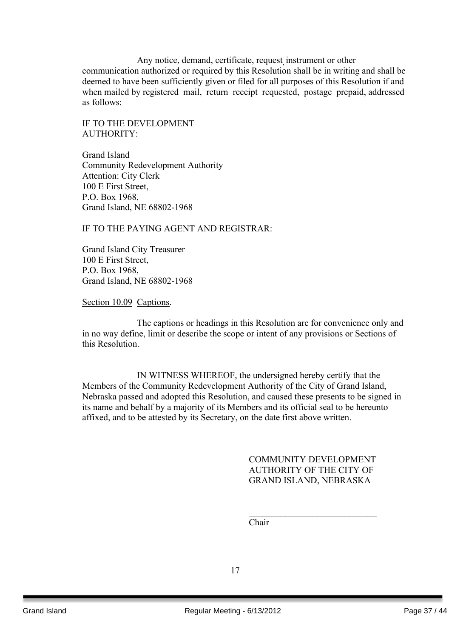Any notice, demand, certificate, request, instrument or other communication authorized or required by this Resolution shall be in writing and shall be deemed to have been sufficiently given or filed for all purposes of this Resolution if and when mailed by registered mail, return receipt requested, postage prepaid, addressed as follows:

IF TO THE DEVELOPMENT AUTHORITY:

Grand Island Community Redevelopment Authority Attention: City Clerk 100 E First Street, P.O. Box 1968, Grand Island, NE 68802-1968

IF TO THE PAYING AGENT AND REGISTRAR:

Grand Island City Treasurer 100 E First Street, P.O. Box 1968, Grand Island, NE 68802-1968

Section 10.09 Captions.

The captions or headings in this Resolution are for convenience only and in no way define, limit or describe the scope or intent of any provisions or Sections of this Resolution.

IN WITNESS WHEREOF, the undersigned hereby certify that the Members of the Community Redevelopment Authority of the City of Grand Island, Nebraska passed and adopted this Resolution, and caused these presents to be signed in its name and behalf by a majority of its Members and its official seal to be hereunto affixed, and to be attested by its Secretary, on the date first above written.

> COMMUNITY DEVELOPMENT AUTHORITY OF THE CITY OF GRAND ISLAND, NEBRASKA

> $\mathcal{L}_\text{max}$  , where  $\mathcal{L}_\text{max}$  , we have the set of the set of the set of the set of the set of the set of the set of the set of the set of the set of the set of the set of the set of the set of the set of the set of

Chair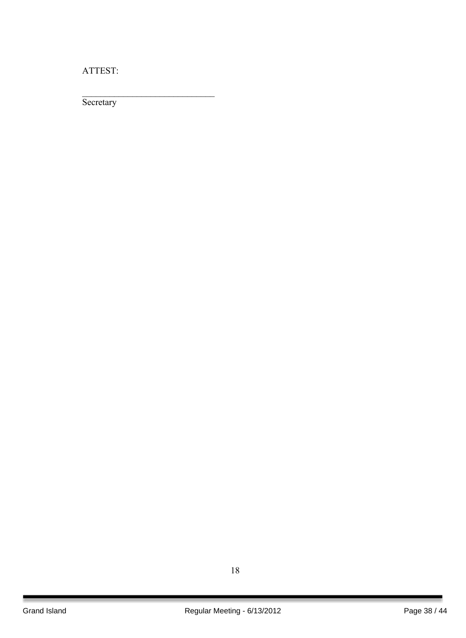ATTEST:

 $\mathcal{L}_\text{max}$  , where  $\mathcal{L}_\text{max}$  , we have the set of  $\mathcal{L}_\text{max}$ 

**Secretary**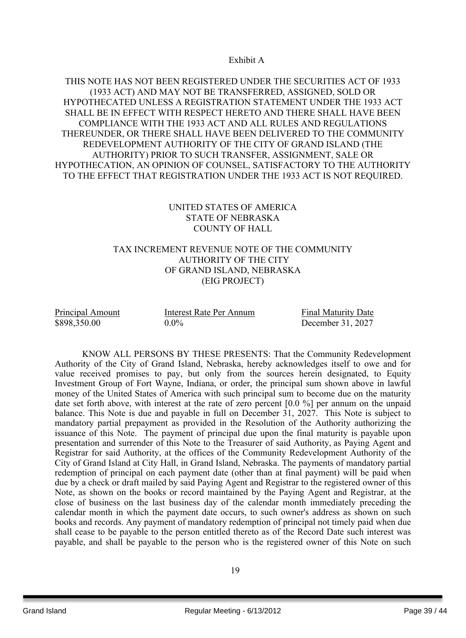Exhibit A

## THIS NOTE HAS NOT BEEN REGISTERED UNDER THE SECURITIES ACT OF 1933 (1933 ACT) AND MAY NOT BE TRANSFERRED, ASSIGNED, SOLD OR HYPOTHECATED UNLESS A REGISTRATION STATEMENT UNDER THE 1933 ACT SHALL BE IN EFFECT WITH RESPECT HERETO AND THERE SHALL HAVE BEEN COMPLIANCE WITH THE 1933 ACT AND ALL RULES AND REGULATIONS THEREUNDER, OR THERE SHALL HAVE BEEN DELIVERED TO THE COMMUNITY REDEVELOPMENT AUTHORITY OF THE CITY OF GRAND ISLAND (THE AUTHORITY) PRIOR TO SUCH TRANSFER, ASSIGNMENT, SALE OR HYPOTHECATION, AN OPINION OF COUNSEL, SATISFACTORY TO THE AUTHORITY TO THE EFFECT THAT REGISTRATION UNDER THE 1933 ACT IS NOT REQUIRED.

## UNITED STATES OF AMERICA STATE OF NEBRASKA COUNTY OF HALL

## TAX INCREMENT REVENUE NOTE OF THE COMMUNITY AUTHORITY OF THE CITY OF GRAND ISLAND, NEBRASKA (EIG PROJECT)

Principal Amount Interest Rate Per Annum Final Maturity Date \$898,350.00 0.0% December 31, 2027

KNOW ALL PERSONS BY THESE PRESENTS: That the Community Redevelopment Authority of the City of Grand Island, Nebraska, hereby acknowledges itself to owe and for value received promises to pay, but only from the sources herein designated, to Equity Investment Group of Fort Wayne, Indiana, or order, the principal sum shown above in lawful money of the United States of America with such principal sum to become due on the maturity date set forth above, with interest at the rate of zero percent [0.0 %] per annum on the unpaid balance. This Note is due and payable in full on December 31, 2027. This Note is subject to mandatory partial prepayment as provided in the Resolution of the Authority authorizing the issuance of this Note. The payment of principal due upon the final maturity is payable upon presentation and surrender of this Note to the Treasurer of said Authority, as Paying Agent and Registrar for said Authority, at the offices of the Community Redevelopment Authority of the City of Grand Island at City Hall, in Grand Island, Nebraska. The payments of mandatory partial redemption of principal on each payment date (other than at final payment) will be paid when due by a check or draft mailed by said Paying Agent and Registrar to the registered owner of this Note, as shown on the books or record maintained by the Paying Agent and Registrar, at the close of business on the last business day of the calendar month immediately preceding the calendar month in which the payment date occurs, to such owner's address as shown on such books and records. Any payment of mandatory redemption of principal not timely paid when due shall cease to be payable to the person entitled thereto as of the Record Date such interest was payable, and shall be payable to the person who is the registered owner of this Note on such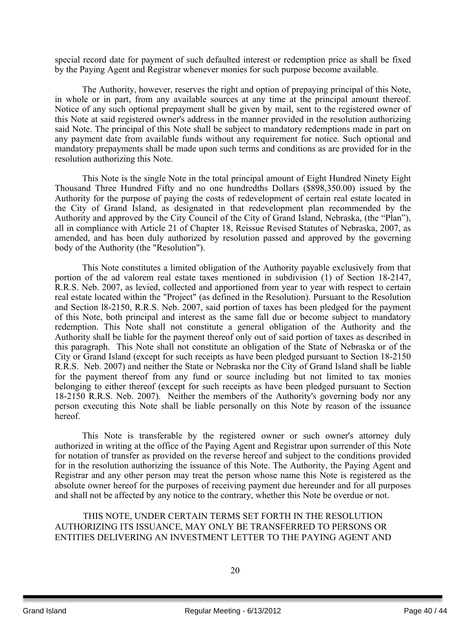special record date for payment of such defaulted interest or redemption price as shall be fixed by the Paying Agent and Registrar whenever monies for such purpose become available.

The Authority, however, reserves the right and option of prepaying principal of this Note, in whole or in part, from any available sources at any time at the principal amount thereof. Notice of any such optional prepayment shall be given by mail, sent to the registered owner of this Note at said registered owner's address in the manner provided in the resolution authorizing said Note. The principal of this Note shall be subject to mandatory redemptions made in part on any payment date from available funds without any requirement for notice. Such optional and mandatory prepayments shall be made upon such terms and conditions as are provided for in the resolution authorizing this Note.

This Note is the single Note in the total principal amount of Eight Hundred Ninety Eight Thousand Three Hundred Fifty and no one hundredths Dollars (\$898,350.00) issued by the Authority for the purpose of paying the costs of redevelopment of certain real estate located in the City of Grand Island, as designated in that redevelopment plan recommended by the Authority and approved by the City Council of the City of Grand Island, Nebraska, (the "Plan"), all in compliance with Article 21 of Chapter 18, Reissue Revised Statutes of Nebraska, 2007, as amended, and has been duly authorized by resolution passed and approved by the governing body of the Authority (the "Resolution").

This Note constitutes a limited obligation of the Authority payable exclusively from that portion of the ad valorem real estate taxes mentioned in subdivision (1) of Section 18-2147, R.R.S. Neb. 2007, as levied, collected and apportioned from year to year with respect to certain real estate located within the "Project" (as defined in the Resolution). Pursuant to the Resolution and Section l8-2150, R.R.S. Neb. 2007, said portion of taxes has been pledged for the payment of this Note, both principal and interest as the same fall due or become subject to mandatory redemption. This Note shall not constitute a general obligation of the Authority and the Authority shall be liable for the payment thereof only out of said portion of taxes as described in this paragraph. This Note shall not constitute an obligation of the State of Nebraska or of the City or Grand Island (except for such receipts as have been pledged pursuant to Section 18-2150 R.R.S. Neb. 2007) and neither the State or Nebraska nor the City of Grand Island shall be liable for the payment thereof from any fund or source including but not limited to tax monies belonging to either thereof (except for such receipts as have been pledged pursuant to Section 18-2150 R.R.S. Neb. 2007). Neither the members of the Authority's governing body nor any person executing this Note shall be liable personally on this Note by reason of the issuance hereof.

This Note is transferable by the registered owner or such owner's attorney duly authorized in writing at the office of the Paying Agent and Registrar upon surrender of this Note for notation of transfer as provided on the reverse hereof and subject to the conditions provided for in the resolution authorizing the issuance of this Note. The Authority, the Paying Agent and Registrar and any other person may treat the person whose name this Note is registered as the absolute owner hereof for the purposes of receiving payment due hereunder and for all purposes and shall not be affected by any notice to the contrary, whether this Note be overdue or not.

THIS NOTE, UNDER CERTAIN TERMS SET FORTH IN THE RESOLUTION AUTHORIZING ITS ISSUANCE, MAY ONLY BE TRANSFERRED TO PERSONS OR ENTITIES DELIVERING AN INVESTMENT LETTER TO THE PAYING AGENT AND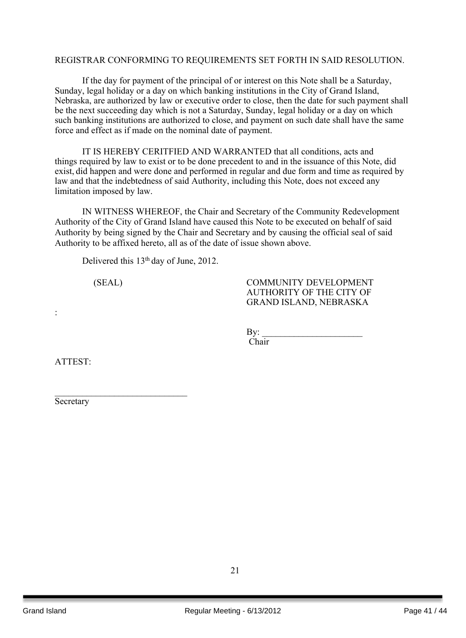#### REGISTRAR CONFORMING TO REQUIREMENTS SET FORTH IN SAID RESOLUTION.

If the day for payment of the principal of or interest on this Note shall be a Saturday, Sunday, legal holiday or a day on which banking institutions in the City of Grand Island, Nebraska, are authorized by law or executive order to close, then the date for such payment shall be the next succeeding day which is not a Saturday, Sunday, legal holiday or a day on which such banking institutions are authorized to close, and payment on such date shall have the same force and effect as if made on the nominal date of payment.

IT IS HEREBY CERITFIED AND WARRANTED that all conditions, acts and things required by law to exist or to be done precedent to and in the issuance of this Note, did exist, did happen and were done and performed in regular and due form and time as required by law and that the indebtedness of said Authority, including this Note, does not exceed any limitation imposed by law.

IN WITNESS WHEREOF, the Chair and Secretary of the Community Redevelopment Authority of the City of Grand Island have caused this Note to be executed on behalf of said Authority by being signed by the Chair and Secretary and by causing the official seal of said Authority to be affixed hereto, all as of the date of issue shown above.

Delivered this 13<sup>th</sup> day of June, 2012.

 $\mathcal{L}_\text{max}$ 

(SEAL) COMMUNITY DEVELOPMENT AUTHORITY OF THE CITY OF GRAND ISLAND, NEBRASKA

> $Bv:$ Chair

ATTEST:

:

**Secretary**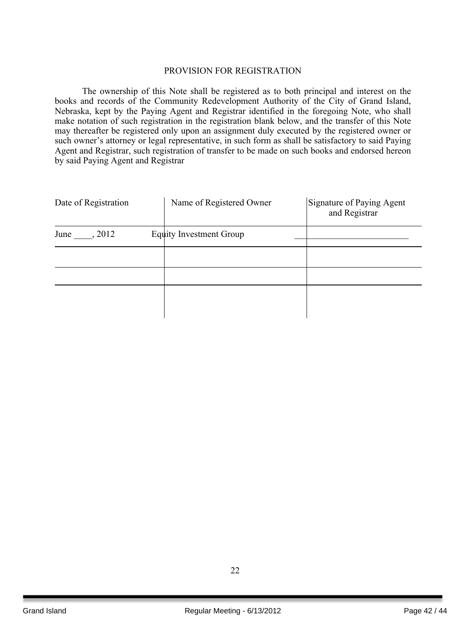#### PROVISION FOR REGISTRATION

The ownership of this Note shall be registered as to both principal and interest on the books and records of the Community Redevelopment Authority of the City of Grand Island, Nebraska, kept by the Paying Agent and Registrar identified in the foregoing Note, who shall make notation of such registration in the registration blank below, and the transfer of this Note may thereafter be registered only upon an assignment duly executed by the registered owner or such owner's attorney or legal representative, in such form as shall be satisfactory to said Paying Agent and Registrar, such registration of transfer to be made on such books and endorsed hereon by said Paying Agent and Registrar

| Date of Registration |  | Name of Registered Owner       | Signature of Paying Agent<br>and Registrar |
|----------------------|--|--------------------------------|--------------------------------------------|
| June<br>, 2012       |  | <b>Equity Investment Group</b> |                                            |
|                      |  |                                |                                            |
|                      |  |                                |                                            |
|                      |  |                                |                                            |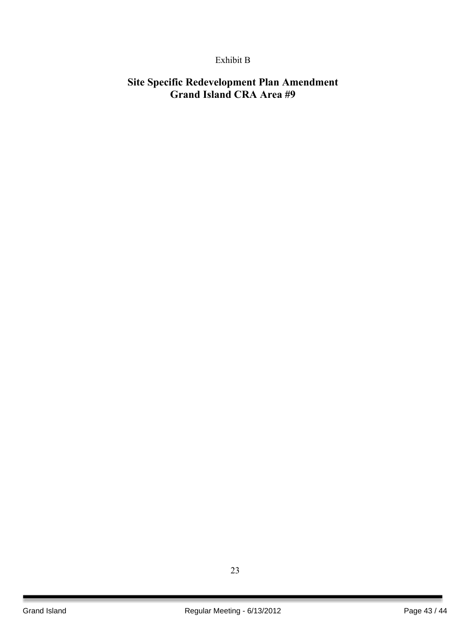## Exhibit B

## **Site Specific Redevelopment Plan Amendment Grand Island CRA Area #9**